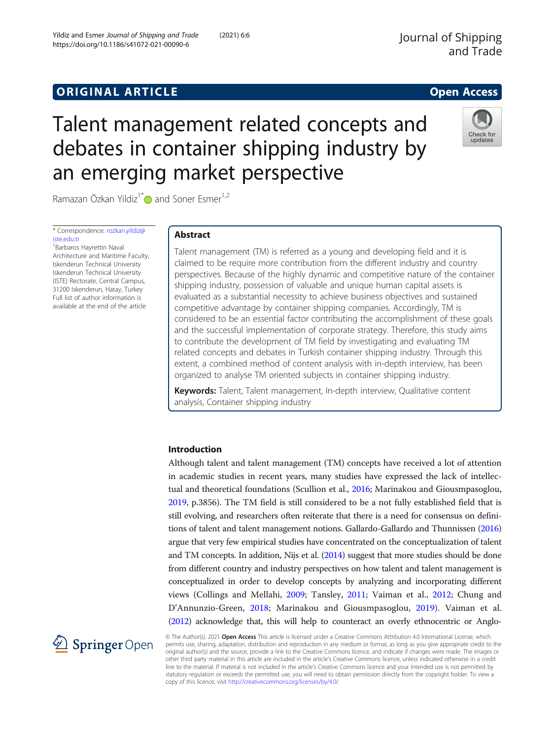https://doi.org/10.1186/s41072-021-00090-6

Yildiz and Esmer Journal of Shipping and Trade (2021) 6:6

# **ORIGINAL ARTICLE CONSUMING A LIGACION** CONSUMING A LIGACION CONSUMING A LIGACION CONSUMING A LIGACION CONSUMING A LIGACION CONSUMING A LIGACION CONSUMING A LIGACION CONSUMING A LIGACION CONSUMING A LIGACION CONSUMING A

# Talent management related concepts and debates in container shipping industry by an emerging market perspective



Ramazan Özkan Yildiz<sup>1[\\*](http://orcid.org/0000-0002-4382-2480)</sup> and Soner Esmer<sup>1,2</sup>

\* Correspondence: [rozkan.yildiz@](mailto:rozkan.yildiz@iste.edu.tr) iste edu.tr

1 Barbaros Hayrettin Naval Architecture and Maritime Faculty, Iskenderun Technical University Iskenderun Technical University (ISTE) Rectorate, Central Campus, 31200 Iskenderun, Hatay, Turkey Full list of author information is available at the end of the article

# Abstract

Talent management (TM) is referred as a young and developing field and it is claimed to be require more contribution from the different industry and country perspectives. Because of the highly dynamic and competitive nature of the container shipping industry, possession of valuable and unique human capital assets is evaluated as a substantial necessity to achieve business objectives and sustained competitive advantage by container shipping companies. Accordingly, TM is considered to be an essential factor contributing the accomplishment of these goals and the successful implementation of corporate strategy. Therefore, this study aims to contribute the development of TM field by investigating and evaluating TM related concepts and debates in Turkish container shipping industry. Through this extent, a combined method of content analysis with in-depth interview, has been organized to analyse TM oriented subjects in container shipping industry.

Keywords: Talent, Talent management, In-depth interview, Qualitative content analysis, Container shipping industry

# Introduction

Although talent and talent management (TM) concepts have received a lot of attention in academic studies in recent years, many studies have expressed the lack of intellectual and theoretical foundations (Scullion et al., [2016](#page-29-0); Marinakou and Giousmpasoglou, [2019](#page-28-0), p.3856). The TM field is still considered to be a not fully established field that is still evolving, and researchers often reiterate that there is a need for consensus on definitions of talent and talent management notions. Gallardo-Gallardo and Thunnissen [\(2016](#page-27-0)) argue that very few empirical studies have concentrated on the conceptualization of talent and TM concepts. In addition, Nijs et al. [\(2014](#page-28-0)) suggest that more studies should be done from different country and industry perspectives on how talent and talent management is conceptualized in order to develop concepts by analyzing and incorporating different views (Collings and Mellahi, [2009](#page-27-0); Tansley, [2011;](#page-29-0) Vaiman et al., [2012](#page-29-0); Chung and D'Annunzio-Green, [2018](#page-27-0); Marinakou and Giousmpasoglou, [2019\)](#page-28-0). Vaiman et al. ([2012\)](#page-29-0) acknowledge that, this will help to counteract an overly ethnocentric or Anglo-



© The Author(s). 2021 Open Access This article is licensed under a Creative Commons Attribution 4.0 International License, which permits use, sharing, adaptation, distribution and reproduction in any medium or format, as long as you give appropriate credit to the original author(s) and the source, provide a link to the Creative Commons licence, and indicate if changes were made. The images or other third party material in this article are included in the article's Creative Commons licence, unless indicated otherwise in a credit line to the material. If material is not included in the article's Creative Commons licence and your intended use is not permitted by statutory regulation or exceeds the permitted use, you will need to obtain permission directly from the copyright holder. To view a copy of this licence, visit <http://creativecommons.org/licenses/by/4.0/>.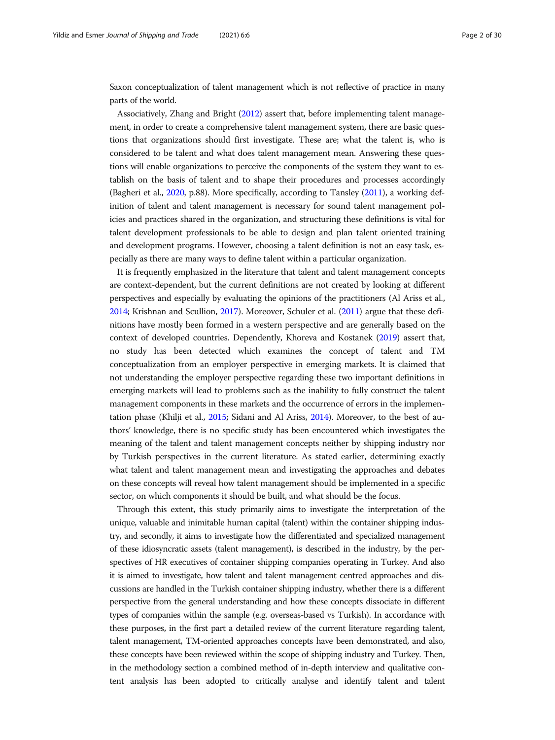Saxon conceptualization of talent management which is not reflective of practice in many parts of the world.

Associatively, Zhang and Bright [\(2012](#page-29-0)) assert that, before implementing talent management, in order to create a comprehensive talent management system, there are basic questions that organizations should first investigate. These are; what the talent is, who is considered to be talent and what does talent management mean. Answering these questions will enable organizations to perceive the components of the system they want to establish on the basis of talent and to shape their procedures and processes accordingly (Bagheri et al., [2020,](#page-26-0) p.88). More specifically, according to Tansley [\(2011\)](#page-29-0), a working definition of talent and talent management is necessary for sound talent management policies and practices shared in the organization, and structuring these definitions is vital for talent development professionals to be able to design and plan talent oriented training and development programs. However, choosing a talent definition is not an easy task, especially as there are many ways to define talent within a particular organization.

It is frequently emphasized in the literature that talent and talent management concepts are context-dependent, but the current definitions are not created by looking at different perspectives and especially by evaluating the opinions of the practitioners (Al Ariss et al., [2014;](#page-26-0) Krishnan and Scullion, [2017\)](#page-28-0). Moreover, Schuler et al. ([2011\)](#page-29-0) argue that these definitions have mostly been formed in a western perspective and are generally based on the context of developed countries. Dependently, Khoreva and Kostanek ([2019](#page-28-0)) assert that, no study has been detected which examines the concept of talent and TM conceptualization from an employer perspective in emerging markets. It is claimed that not understanding the employer perspective regarding these two important definitions in emerging markets will lead to problems such as the inability to fully construct the talent management components in these markets and the occurrence of errors in the implementation phase (Khilji et al., [2015;](#page-28-0) Sidani and Al Ariss, [2014\)](#page-29-0). Moreover, to the best of authors' knowledge, there is no specific study has been encountered which investigates the meaning of the talent and talent management concepts neither by shipping industry nor by Turkish perspectives in the current literature. As stated earlier, determining exactly what talent and talent management mean and investigating the approaches and debates on these concepts will reveal how talent management should be implemented in a specific sector, on which components it should be built, and what should be the focus.

Through this extent, this study primarily aims to investigate the interpretation of the unique, valuable and inimitable human capital (talent) within the container shipping industry, and secondly, it aims to investigate how the differentiated and specialized management of these idiosyncratic assets (talent management), is described in the industry, by the perspectives of HR executives of container shipping companies operating in Turkey. And also it is aimed to investigate, how talent and talent management centred approaches and discussions are handled in the Turkish container shipping industry, whether there is a different perspective from the general understanding and how these concepts dissociate in different types of companies within the sample (e.g. overseas-based vs Turkish). In accordance with these purposes, in the first part a detailed review of the current literature regarding talent, talent management, TM-oriented approaches concepts have been demonstrated, and also, these concepts have been reviewed within the scope of shipping industry and Turkey. Then, in the methodology section a combined method of in-depth interview and qualitative content analysis has been adopted to critically analyse and identify talent and talent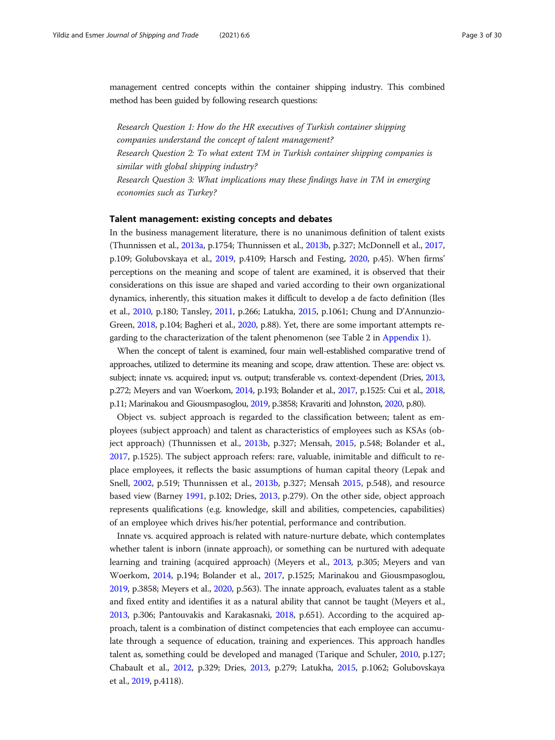management centred concepts within the container shipping industry. This combined method has been guided by following research questions:

Research Question 1: How do the HR executives of Turkish container shipping companies understand the concept of talent management? Research Question 2: To what extent TM in Turkish container shipping companies is similar with global shipping industry? Research Question 3: What implications may these findings have in TM in emerging economies such as Turkey?

## Talent management: existing concepts and debates

In the business management literature, there is no unanimous definition of talent exists (Thunnissen et al., [2013a](#page-29-0), p.1754; Thunnissen et al., [2013b,](#page-29-0) p.327; McDonnell et al., [2017](#page-28-0), p.109; Golubovskaya et al., [2019,](#page-27-0) p.4109; Harsch and Festing, [2020](#page-27-0), p.45). When firms' perceptions on the meaning and scope of talent are examined, it is observed that their considerations on this issue are shaped and varied according to their own organizational dynamics, inherently, this situation makes it difficult to develop a de facto definition (Iles et al., [2010,](#page-27-0) p.180; Tansley, [2011](#page-29-0), p.266; Latukha, [2015,](#page-28-0) p.1061; Chung and D'Annunzio-Green, [2018,](#page-27-0) p.104; Bagheri et al., [2020,](#page-26-0) p.88). Yet, there are some important attempts regarding to the characterization of the talent phenomenon (see Table 2 in [Appendix 1](#page-22-0)).

When the concept of talent is examined, four main well-established comparative trend of approaches, utilized to determine its meaning and scope, draw attention. These are: object vs. subject; innate vs. acquired; input vs. output; transferable vs. context-dependent (Dries, [2013](#page-27-0), p.272; Meyers and van Woerkom, [2014](#page-28-0), p.193; Bolander et al., [2017](#page-26-0), p.1525: Cui et al., [2018](#page-27-0), p.11; Marinakou and Giousmpasoglou, [2019,](#page-28-0) p.3858; Kravariti and Johnston, [2020,](#page-28-0) p.80).

Object vs. subject approach is regarded to the classification between; talent as employees (subject approach) and talent as characteristics of employees such as KSAs (object approach) (Thunnissen et al., [2013b](#page-29-0), p.327; Mensah, [2015,](#page-28-0) p.548; Bolander et al., [2017](#page-26-0), p.1525). The subject approach refers: rare, valuable, inimitable and difficult to replace employees, it reflects the basic assumptions of human capital theory (Lepak and Snell, [2002,](#page-28-0) p.519; Thunnissen et al., [2013b,](#page-29-0) p.327; Mensah [2015,](#page-28-0) p.548), and resource based view (Barney [1991](#page-26-0), p.102; Dries, [2013](#page-27-0), p.279). On the other side, object approach represents qualifications (e.g. knowledge, skill and abilities, competencies, capabilities) of an employee which drives his/her potential, performance and contribution.

Innate vs. acquired approach is related with nature-nurture debate, which contemplates whether talent is inborn (innate approach), or something can be nurtured with adequate learning and training (acquired approach) (Meyers et al., [2013](#page-28-0), p.305; Meyers and van Woerkom, [2014,](#page-28-0) p.194; Bolander et al., [2017,](#page-26-0) p.1525; Marinakou and Giousmpasoglou, [2019,](#page-28-0) p.3858; Meyers et al., [2020,](#page-28-0) p.563). The innate approach, evaluates talent as a stable and fixed entity and identifies it as a natural ability that cannot be taught (Meyers et al., [2013,](#page-28-0) p.306; Pantouvakis and Karakasnaki, [2018](#page-28-0), p.651). According to the acquired approach, talent is a combination of distinct competencies that each employee can accumulate through a sequence of education, training and experiences. This approach handles talent as, something could be developed and managed (Tarique and Schuler, [2010,](#page-29-0) p.127; Chabault et al., [2012,](#page-26-0) p.329; Dries, [2013,](#page-27-0) p.279; Latukha, [2015,](#page-28-0) p.1062; Golubovskaya et al., [2019](#page-27-0), p.4118).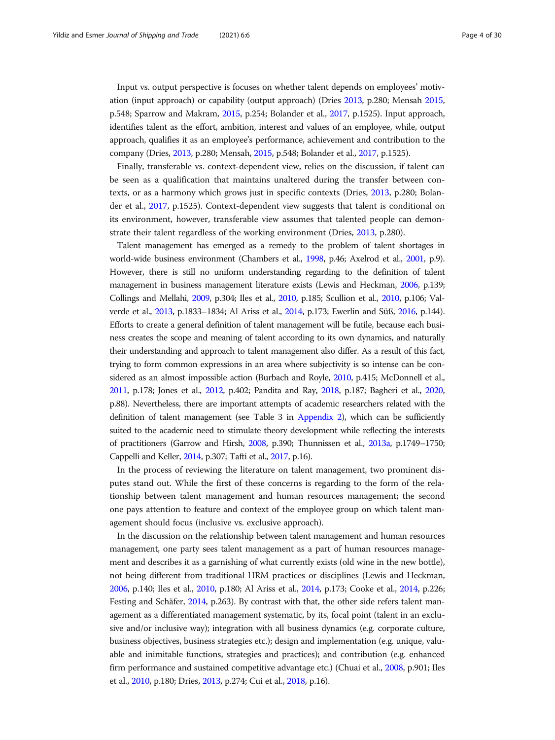Input vs. output perspective is focuses on whether talent depends on employees' motivation (input approach) or capability (output approach) (Dries [2013,](#page-27-0) p.280; Mensah [2015](#page-28-0), p.548; Sparrow and Makram, [2015,](#page-29-0) p.254; Bolander et al., [2017](#page-26-0), p.1525). Input approach, identifies talent as the effort, ambition, interest and values of an employee, while, output approach, qualifies it as an employee's performance, achievement and contribution to the company (Dries, [2013,](#page-27-0) p.280; Mensah, [2015,](#page-28-0) p.548; Bolander et al., [2017](#page-26-0), p.1525).

Finally, transferable vs. context-dependent view, relies on the discussion, if talent can be seen as a qualification that maintains unaltered during the transfer between contexts, or as a harmony which grows just in specific contexts (Dries, [2013,](#page-27-0) p.280; Bolander et al., [2017,](#page-26-0) p.1525). Context-dependent view suggests that talent is conditional on its environment, however, transferable view assumes that talented people can demonstrate their talent regardless of the working environment (Dries, [2013](#page-27-0), p.280).

Talent management has emerged as a remedy to the problem of talent shortages in world-wide business environment (Chambers et al., [1998](#page-26-0), p.46; Axelrod et al., [2001,](#page-26-0) p.9). However, there is still no uniform understanding regarding to the definition of talent management in business management literature exists (Lewis and Heckman, [2006,](#page-28-0) p.139; Collings and Mellahi, [2009](#page-27-0), p.304; Iles et al., [2010,](#page-27-0) p.185; Scullion et al., [2010,](#page-29-0) p.106; Valverde et al., [2013](#page-29-0), p.1833–1834; Al Ariss et al., [2014,](#page-26-0) p.173; Ewerlin and Süß, [2016](#page-27-0), p.144). Efforts to create a general definition of talent management will be futile, because each business creates the scope and meaning of talent according to its own dynamics, and naturally their understanding and approach to talent management also differ. As a result of this fact, trying to form common expressions in an area where subjectivity is so intense can be considered as an almost impossible action (Burbach and Royle, [2010,](#page-26-0) p.415; McDonnell et al., [2011,](#page-28-0) p.178; Jones et al., [2012](#page-27-0), p.402; Pandita and Ray, [2018,](#page-28-0) p.187; Bagheri et al., [2020](#page-26-0), p.88). Nevertheless, there are important attempts of academic researchers related with the definition of talent management (see Table 3 in [Appendix 2\)](#page-24-0), which can be sufficiently suited to the academic need to stimulate theory development while reflecting the interests of practitioners (Garrow and Hirsh, [2008,](#page-27-0) p.390; Thunnissen et al., [2013a,](#page-29-0) p.1749–1750; Cappelli and Keller, [2014,](#page-26-0) p.307; Tafti et al., [2017](#page-29-0), p.16).

In the process of reviewing the literature on talent management, two prominent disputes stand out. While the first of these concerns is regarding to the form of the relationship between talent management and human resources management; the second one pays attention to feature and context of the employee group on which talent management should focus (inclusive vs. exclusive approach).

In the discussion on the relationship between talent management and human resources management, one party sees talent management as a part of human resources management and describes it as a garnishing of what currently exists (old wine in the new bottle), not being different from traditional HRM practices or disciplines (Lewis and Heckman, [2006,](#page-28-0) p.140; Iles et al., [2010](#page-27-0), p.180; Al Ariss et al., [2014,](#page-26-0) p.173; Cooke et al., [2014](#page-27-0), p.226; Festing and Schäfer, [2014](#page-27-0), p.263). By contrast with that, the other side refers talent management as a differentiated management systematic, by its, focal point (talent in an exclusive and/or inclusive way); integration with all business dynamics (e.g. corporate culture, business objectives, business strategies etc.); design and implementation (e.g. unique, valuable and inimitable functions, strategies and practices); and contribution (e.g. enhanced firm performance and sustained competitive advantage etc.) (Chuai et al., [2008,](#page-26-0) p.901; Iles et al., [2010](#page-27-0), p.180; Dries, [2013,](#page-27-0) p.274; Cui et al., [2018](#page-27-0), p.16).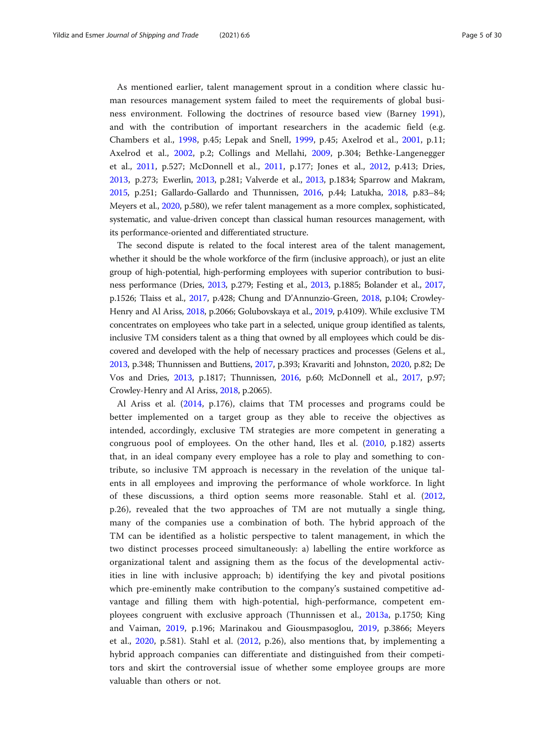As mentioned earlier, talent management sprout in a condition where classic human resources management system failed to meet the requirements of global business environment. Following the doctrines of resource based view (Barney [1991](#page-26-0)), and with the contribution of important researchers in the academic field (e.g. Chambers et al., [1998](#page-26-0), p.45; Lepak and Snell, [1999,](#page-28-0) p.45; Axelrod et al., [2001,](#page-26-0) p.11; Axelrod et al., [2002,](#page-26-0) p.2; Collings and Mellahi, [2009,](#page-27-0) p.304; Bethke-Langenegger et al., [2011,](#page-26-0) p.527; McDonnell et al., [2011](#page-28-0), p.177; Jones et al., [2012,](#page-27-0) p.413; Dries, [2013,](#page-27-0) p.273; Ewerlin, [2013](#page-27-0), p.281; Valverde et al., [2013,](#page-29-0) p.1834; Sparrow and Makram, [2015,](#page-29-0) p.251; Gallardo-Gallardo and Thunnissen, [2016](#page-27-0), p.44; Latukha, [2018,](#page-28-0) p.83–84; Meyers et al., [2020,](#page-28-0) p.580), we refer talent management as a more complex, sophisticated, systematic, and value-driven concept than classical human resources management, with its performance-oriented and differentiated structure.

The second dispute is related to the focal interest area of the talent management, whether it should be the whole workforce of the firm (inclusive approach), or just an elite group of high-potential, high-performing employees with superior contribution to business performance (Dries, [2013](#page-27-0), p.279; Festing et al., [2013,](#page-27-0) p.1885; Bolander et al., [2017](#page-26-0), p.1526; Tlaiss et al., [2017](#page-29-0), p.428; Chung and D'Annunzio-Green, [2018,](#page-27-0) p.104; Crowley-Henry and Al Ariss, [2018](#page-27-0), p.2066; Golubovskaya et al., [2019](#page-27-0), p.4109). While exclusive TM concentrates on employees who take part in a selected, unique group identified as talents, inclusive TM considers talent as a thing that owned by all employees which could be discovered and developed with the help of necessary practices and processes (Gelens et al., [2013,](#page-27-0) p.348; Thunnissen and Buttiens, [2017](#page-29-0), p.393; Kravariti and Johnston, [2020,](#page-28-0) p.82; De Vos and Dries, [2013](#page-27-0), p.1817; Thunnissen, [2016,](#page-29-0) p.60; McDonnell et al., [2017](#page-28-0), p.97; Crowley-Henry and Al Ariss, [2018](#page-27-0), p.2065).

Al Ariss et al. ([2014,](#page-26-0) p.176), claims that TM processes and programs could be better implemented on a target group as they able to receive the objectives as intended, accordingly, exclusive TM strategies are more competent in generating a congruous pool of employees. On the other hand, Iles et al. [\(2010](#page-27-0), p.182) asserts that, in an ideal company every employee has a role to play and something to contribute, so inclusive TM approach is necessary in the revelation of the unique talents in all employees and improving the performance of whole workforce. In light of these discussions, a third option seems more reasonable. Stahl et al. [\(2012](#page-29-0), p.26), revealed that the two approaches of TM are not mutually a single thing, many of the companies use a combination of both. The hybrid approach of the TM can be identified as a holistic perspective to talent management, in which the two distinct processes proceed simultaneously: a) labelling the entire workforce as organizational talent and assigning them as the focus of the developmental activities in line with inclusive approach; b) identifying the key and pivotal positions which pre-eminently make contribution to the company's sustained competitive advantage and filling them with high-potential, high-performance, competent employees congruent with exclusive approach (Thunnissen et al., [2013a](#page-29-0), p.1750; King and Vaiman, [2019](#page-28-0), p.196; Marinakou and Giousmpasoglou, [2019,](#page-28-0) p.3866; Meyers et al., [2020](#page-28-0), p.581). Stahl et al. ([2012,](#page-29-0) p.26), also mentions that, by implementing a hybrid approach companies can differentiate and distinguished from their competitors and skirt the controversial issue of whether some employee groups are more valuable than others or not.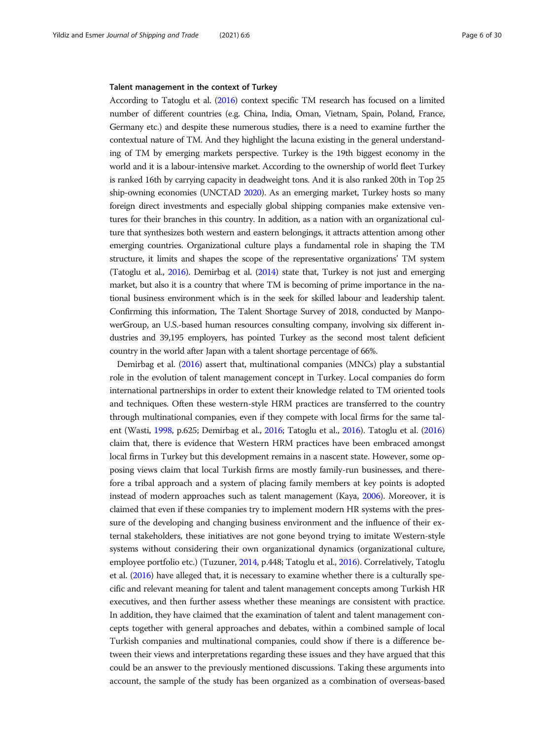## Talent management in the context of Turkey

According to Tatoglu et al. [\(2016](#page-29-0)) context specific TM research has focused on a limited number of different countries (e.g. China, India, Oman, Vietnam, Spain, Poland, France, Germany etc.) and despite these numerous studies, there is a need to examine further the contextual nature of TM. And they highlight the lacuna existing in the general understanding of TM by emerging markets perspective. Turkey is the 19th biggest economy in the world and it is a labour-intensive market. According to the ownership of world fleet Turkey is ranked 16th by carrying capacity in deadweight tons. And it is also ranked 20th in Top 25 ship-owning economies (UNCTAD [2020\)](#page-29-0). As an emerging market, Turkey hosts so many foreign direct investments and especially global shipping companies make extensive ventures for their branches in this country. In addition, as a nation with an organizational culture that synthesizes both western and eastern belongings, it attracts attention among other emerging countries. Organizational culture plays a fundamental role in shaping the TM structure, it limits and shapes the scope of the representative organizations' TM system (Tatoglu et al., [2016](#page-29-0)). Demirbag et al. [\(2014\)](#page-27-0) state that, Turkey is not just and emerging market, but also it is a country that where TM is becoming of prime importance in the national business environment which is in the seek for skilled labour and leadership talent. Confirming this information, The Talent Shortage Survey of 2018, conducted by ManpowerGroup, an U.S.-based human resources consulting company, involving six different industries and 39,195 employers, has pointed Turkey as the second most talent deficient country in the world after Japan with a talent shortage percentage of 66%.

Demirbag et al. ([2016](#page-27-0)) assert that, multinational companies (MNCs) play a substantial role in the evolution of talent management concept in Turkey. Local companies do form international partnerships in order to extent their knowledge related to TM oriented tools and techniques. Often these western-style HRM practices are transferred to the country through multinational companies, even if they compete with local firms for the same talent (Wasti, [1998,](#page-29-0) p.625; Demirbag et al., [2016](#page-27-0); Tatoglu et al., [2016\)](#page-29-0). Tatoglu et al. [\(2016](#page-29-0)) claim that, there is evidence that Western HRM practices have been embraced amongst local firms in Turkey but this development remains in a nascent state. However, some opposing views claim that local Turkish firms are mostly family-run businesses, and therefore a tribal approach and a system of placing family members at key points is adopted instead of modern approaches such as talent management (Kaya, [2006](#page-28-0)). Moreover, it is claimed that even if these companies try to implement modern HR systems with the pressure of the developing and changing business environment and the influence of their external stakeholders, these initiatives are not gone beyond trying to imitate Western-style systems without considering their own organizational dynamics (organizational culture, employee portfolio etc.) (Tuzuner, [2014,](#page-29-0) p.448; Tatoglu et al., [2016](#page-29-0)). Correlatively, Tatoglu et al. ([2016\)](#page-29-0) have alleged that, it is necessary to examine whether there is a culturally specific and relevant meaning for talent and talent management concepts among Turkish HR executives, and then further assess whether these meanings are consistent with practice. In addition, they have claimed that the examination of talent and talent management concepts together with general approaches and debates, within a combined sample of local Turkish companies and multinational companies, could show if there is a difference between their views and interpretations regarding these issues and they have argued that this could be an answer to the previously mentioned discussions. Taking these arguments into account, the sample of the study has been organized as a combination of overseas-based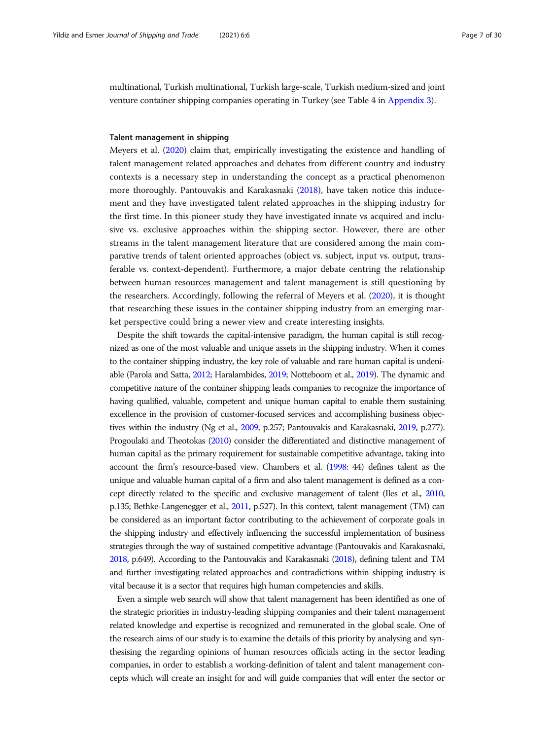multinational, Turkish multinational, Turkish large-scale, Turkish medium-sized and joint venture container shipping companies operating in Turkey (see Table 4 in [Appendix 3\)](#page-25-0).

## Talent management in shipping

Meyers et al. ([2020](#page-28-0)) claim that, empirically investigating the existence and handling of talent management related approaches and debates from different country and industry contexts is a necessary step in understanding the concept as a practical phenomenon more thoroughly. Pantouvakis and Karakasnaki ([2018](#page-28-0)), have taken notice this inducement and they have investigated talent related approaches in the shipping industry for the first time. In this pioneer study they have investigated innate vs acquired and inclusive vs. exclusive approaches within the shipping sector. However, there are other streams in the talent management literature that are considered among the main comparative trends of talent oriented approaches (object vs. subject, input vs. output, transferable vs. context-dependent). Furthermore, a major debate centring the relationship between human resources management and talent management is still questioning by the researchers. Accordingly, following the referral of Meyers et al. [\(2020\)](#page-28-0), it is thought that researching these issues in the container shipping industry from an emerging market perspective could bring a newer view and create interesting insights.

Despite the shift towards the capital-intensive paradigm, the human capital is still recognized as one of the most valuable and unique assets in the shipping industry. When it comes to the container shipping industry, the key role of valuable and rare human capital is undeniable (Parola and Satta, [2012;](#page-28-0) Haralambides, [2019](#page-27-0); Notteboom et al., [2019](#page-28-0)). The dynamic and competitive nature of the container shipping leads companies to recognize the importance of having qualified, valuable, competent and unique human capital to enable them sustaining excellence in the provision of customer-focused services and accomplishing business objectives within the industry (Ng et al., [2009](#page-28-0), p.257; Pantouvakis and Karakasnaki, [2019](#page-28-0), p.277). Progoulaki and Theotokas ([2010](#page-28-0)) consider the differentiated and distinctive management of human capital as the primary requirement for sustainable competitive advantage, taking into account the firm's resource-based view. Chambers et al. [\(1998:](#page-26-0) 44) defines talent as the unique and valuable human capital of a firm and also talent management is defined as a concept directly related to the specific and exclusive management of talent (Iles et al., [2010](#page-27-0), p.135; Bethke-Langenegger et al., [2011](#page-26-0), p.527). In this context, talent management (TM) can be considered as an important factor contributing to the achievement of corporate goals in the shipping industry and effectively influencing the successful implementation of business strategies through the way of sustained competitive advantage (Pantouvakis and Karakasnaki, [2018](#page-28-0), p.649). According to the Pantouvakis and Karakasnaki [\(2018\)](#page-28-0), defining talent and TM and further investigating related approaches and contradictions within shipping industry is vital because it is a sector that requires high human competencies and skills.

Even a simple web search will show that talent management has been identified as one of the strategic priorities in industry-leading shipping companies and their talent management related knowledge and expertise is recognized and remunerated in the global scale. One of the research aims of our study is to examine the details of this priority by analysing and synthesising the regarding opinions of human resources officials acting in the sector leading companies, in order to establish a working-definition of talent and talent management concepts which will create an insight for and will guide companies that will enter the sector or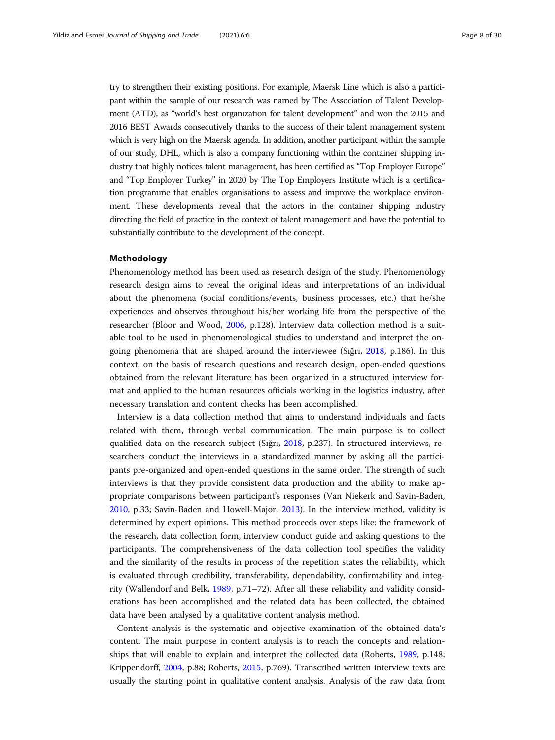try to strengthen their existing positions. For example, Maersk Line which is also a participant within the sample of our research was named by The Association of Talent Development (ATD), as "world's best organization for talent development" and won the 2015 and 2016 BEST Awards consecutively thanks to the success of their talent management system which is very high on the Maersk agenda. In addition, another participant within the sample of our study, DHL, which is also a company functioning within the container shipping industry that highly notices talent management, has been certified as "Top Employer Europe" and "Top Employer Turkey" in 2020 by The Top Employers Institute which is a certification programme that enables organisations to assess and improve the workplace environment. These developments reveal that the actors in the container shipping industry directing the field of practice in the context of talent management and have the potential to substantially contribute to the development of the concept.

## Methodology

Phenomenology method has been used as research design of the study. Phenomenology research design aims to reveal the original ideas and interpretations of an individual about the phenomena (social conditions/events, business processes, etc.) that he/she experiences and observes throughout his/her working life from the perspective of the researcher (Bloor and Wood, [2006](#page-26-0), p.128). Interview data collection method is a suitable tool to be used in phenomenological studies to understand and interpret the ongoing phenomena that are shaped around the interviewee (Sığrı, [2018,](#page-29-0) p.186). In this context, on the basis of research questions and research design, open-ended questions obtained from the relevant literature has been organized in a structured interview format and applied to the human resources officials working in the logistics industry, after necessary translation and content checks has been accomplished.

Interview is a data collection method that aims to understand individuals and facts related with them, through verbal communication. The main purpose is to collect qualified data on the research subject (Sığrı, [2018](#page-29-0), p.237). In structured interviews, researchers conduct the interviews in a standardized manner by asking all the participants pre-organized and open-ended questions in the same order. The strength of such interviews is that they provide consistent data production and the ability to make appropriate comparisons between participant's responses (Van Niekerk and Savin-Baden, [2010](#page-29-0), p.33; Savin-Baden and Howell-Major, [2013\)](#page-29-0). In the interview method, validity is determined by expert opinions. This method proceeds over steps like: the framework of the research, data collection form, interview conduct guide and asking questions to the participants. The comprehensiveness of the data collection tool specifies the validity and the similarity of the results in process of the repetition states the reliability, which is evaluated through credibility, transferability, dependability, confirmability and integrity (Wallendorf and Belk, [1989,](#page-29-0) p.71–72). After all these reliability and validity considerations has been accomplished and the related data has been collected, the obtained data have been analysed by a qualitative content analysis method.

Content analysis is the systematic and objective examination of the obtained data's content. The main purpose in content analysis is to reach the concepts and relationships that will enable to explain and interpret the collected data (Roberts, [1989,](#page-29-0) p.148; Krippendorff, [2004,](#page-28-0) p.88; Roberts, [2015](#page-29-0), p.769). Transcribed written interview texts are usually the starting point in qualitative content analysis. Analysis of the raw data from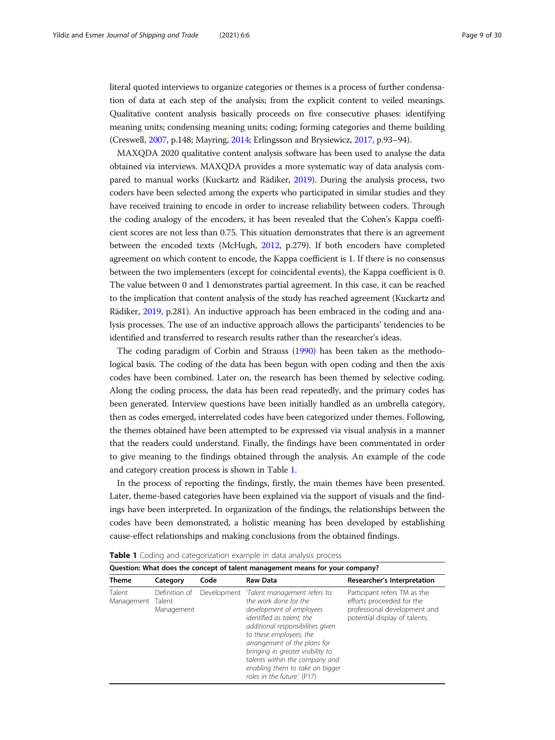literal quoted interviews to organize categories or themes is a process of further condensation of data at each step of the analysis; from the explicit content to veiled meanings. Qualitative content analysis basically proceeds on five consecutive phases: identifying meaning units; condensing meaning units; coding; forming categories and theme building (Creswell, [2007,](#page-27-0) p.148; Mayring, [2014](#page-28-0); Erlingsson and Brysiewicz, [2017,](#page-27-0) p.93–94).

MAXQDA 2020 qualitative content analysis software has been used to analyse the data obtained via interviews. MAXQDA provides a more systematic way of data analysis compared to manual works (Kuckartz and Rädiker, [2019\)](#page-28-0). During the analysis process, two coders have been selected among the experts who participated in similar studies and they have received training to encode in order to increase reliability between coders. Through the coding analogy of the encoders, it has been revealed that the Cohen's Kappa coefficient scores are not less than 0.75. This situation demonstrates that there is an agreement between the encoded texts (McHugh, [2012,](#page-28-0) p.279). If both encoders have completed agreement on which content to encode, the Kappa coefficient is 1. If there is no consensus between the two implementers (except for coincidental events), the Kappa coefficient is 0. The value between 0 and 1 demonstrates partial agreement. In this case, it can be reached to the implication that content analysis of the study has reached agreement (Kuckartz and Rädiker, [2019,](#page-28-0) p.281). An inductive approach has been embraced in the coding and analysis processes. The use of an inductive approach allows the participants' tendencies to be identified and transferred to research results rather than the researcher's ideas.

The coding paradigm of Corbin and Strauss ([1990](#page-27-0)) has been taken as the methodological basis. The coding of the data has been begun with open coding and then the axis codes have been combined. Later on, the research has been themed by selective coding. Along the coding process, the data has been read repeatedly, and the primary codes has been generated. Interview questions have been initially handled as an umbrella category, then as codes emerged, interrelated codes have been categorized under themes. Following, the themes obtained have been attempted to be expressed via visual analysis in a manner that the readers could understand. Finally, the findings have been commentated in order to give meaning to the findings obtained through the analysis. An example of the code and category creation process is shown in Table 1.

In the process of reporting the findings, firstly, the main themes have been presented. Later, theme-based categories have been explained via the support of visuals and the findings have been interpreted. In organization of the findings, the relationships between the codes have been demonstrated, a holistic meaning has been developed by establishing cause-effect relationships and making conclusions from the obtained findings.

| Question: What does the concept of talent management means for your company? |                             |      |                                                                                                                                                                                                                                                                                                                                                                      |                                                                                                                            |  |  |  |
|------------------------------------------------------------------------------|-----------------------------|------|----------------------------------------------------------------------------------------------------------------------------------------------------------------------------------------------------------------------------------------------------------------------------------------------------------------------------------------------------------------------|----------------------------------------------------------------------------------------------------------------------------|--|--|--|
| <b>Theme</b>                                                                 | Category                    | Code | Raw Data                                                                                                                                                                                                                                                                                                                                                             | Researcher's Interpretation                                                                                                |  |  |  |
| Talent<br>Management Talent                                                  | Definition of<br>Management |      | Development 'Talent management refers to:<br>the work done for the<br>development of employees<br>identified as talent; the<br>additional responsibilities given<br>to these employees; the<br>arrangement of the plans for<br>bringing in greater visibility to<br>talents within the company and<br>enabling them to take on bigger<br>roles in the future.' (P17) | Participant refers TM as the<br>efforts proceeded for the<br>professional development and<br>potential display of talents. |  |  |  |

Table 1 Coding and categorization example in data analysis process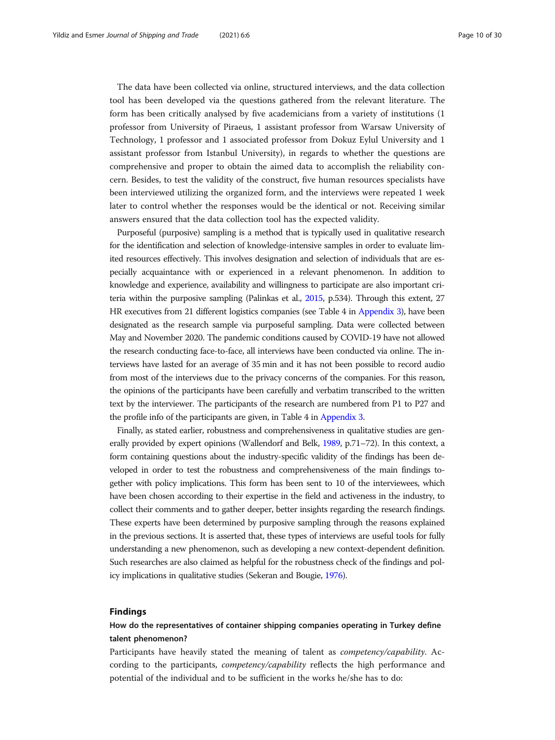The data have been collected via online, structured interviews, and the data collection tool has been developed via the questions gathered from the relevant literature. The form has been critically analysed by five academicians from a variety of institutions (1 professor from University of Piraeus, 1 assistant professor from Warsaw University of Technology, 1 professor and 1 associated professor from Dokuz Eylul University and 1 assistant professor from Istanbul University), in regards to whether the questions are comprehensive and proper to obtain the aimed data to accomplish the reliability concern. Besides, to test the validity of the construct, five human resources specialists have been interviewed utilizing the organized form, and the interviews were repeated 1 week later to control whether the responses would be the identical or not. Receiving similar answers ensured that the data collection tool has the expected validity.

Purposeful (purposive) sampling is a method that is typically used in qualitative research for the identification and selection of knowledge-intensive samples in order to evaluate limited resources effectively. This involves designation and selection of individuals that are especially acquaintance with or experienced in a relevant phenomenon. In addition to knowledge and experience, availability and willingness to participate are also important criteria within the purposive sampling (Palinkas et al., [2015,](#page-28-0) p.534). Through this extent, 27 HR executives from 21 different logistics companies (see Table 4 in [Appendix 3\)](#page-25-0), have been designated as the research sample via purposeful sampling. Data were collected between May and November 2020. The pandemic conditions caused by COVID-19 have not allowed the research conducting face-to-face, all interviews have been conducted via online. The interviews have lasted for an average of 35 min and it has not been possible to record audio from most of the interviews due to the privacy concerns of the companies. For this reason, the opinions of the participants have been carefully and verbatim transcribed to the written text by the interviewer. The participants of the research are numbered from P1 to P27 and the profile info of the participants are given, in Table 4 in [Appendix 3.](#page-25-0)

Finally, as stated earlier, robustness and comprehensiveness in qualitative studies are generally provided by expert opinions (Wallendorf and Belk, [1989](#page-29-0), p.71–72). In this context, a form containing questions about the industry-specific validity of the findings has been developed in order to test the robustness and comprehensiveness of the main findings together with policy implications. This form has been sent to 10 of the interviewees, which have been chosen according to their expertise in the field and activeness in the industry, to collect their comments and to gather deeper, better insights regarding the research findings. These experts have been determined by purposive sampling through the reasons explained in the previous sections. It is asserted that, these types of interviews are useful tools for fully understanding a new phenomenon, such as developing a new context-dependent definition. Such researches are also claimed as helpful for the robustness check of the findings and policy implications in qualitative studies (Sekeran and Bougie, [1976\)](#page-29-0).

### Findings

# How do the representatives of container shipping companies operating in Turkey define talent phenomenon?

Participants have heavily stated the meaning of talent as competency/capability. According to the participants, *competency/capability* reflects the high performance and potential of the individual and to be sufficient in the works he/she has to do: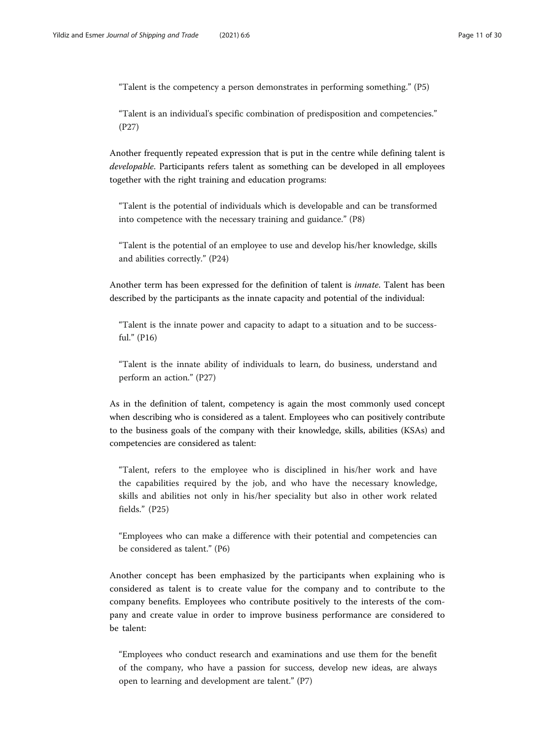"Talent is the competency a person demonstrates in performing something." (P5)

"Talent is an individual's specific combination of predisposition and competencies." (P27)

Another frequently repeated expression that is put in the centre while defining talent is developable. Participants refers talent as something can be developed in all employees together with the right training and education programs:

"Talent is the potential of individuals which is developable and can be transformed into competence with the necessary training and guidance." (P8)

"Talent is the potential of an employee to use and develop his/her knowledge, skills and abilities correctly." (P24)

Another term has been expressed for the definition of talent is *innate*. Talent has been described by the participants as the innate capacity and potential of the individual:

"Talent is the innate power and capacity to adapt to a situation and to be successful." (P16)

"Talent is the innate ability of individuals to learn, do business, understand and perform an action." (P27)

As in the definition of talent, competency is again the most commonly used concept when describing who is considered as a talent. Employees who can positively contribute to the business goals of the company with their knowledge, skills, abilities (KSAs) and competencies are considered as talent:

"Talent, refers to the employee who is disciplined in his/her work and have the capabilities required by the job, and who have the necessary knowledge, skills and abilities not only in his/her speciality but also in other work related fields." (P25)

"Employees who can make a difference with their potential and competencies can be considered as talent." (P6)

Another concept has been emphasized by the participants when explaining who is considered as talent is to create value for the company and to contribute to the company benefits. Employees who contribute positively to the interests of the company and create value in order to improve business performance are considered to be talent:

"Employees who conduct research and examinations and use them for the benefit of the company, who have a passion for success, develop new ideas, are always open to learning and development are talent." (P7)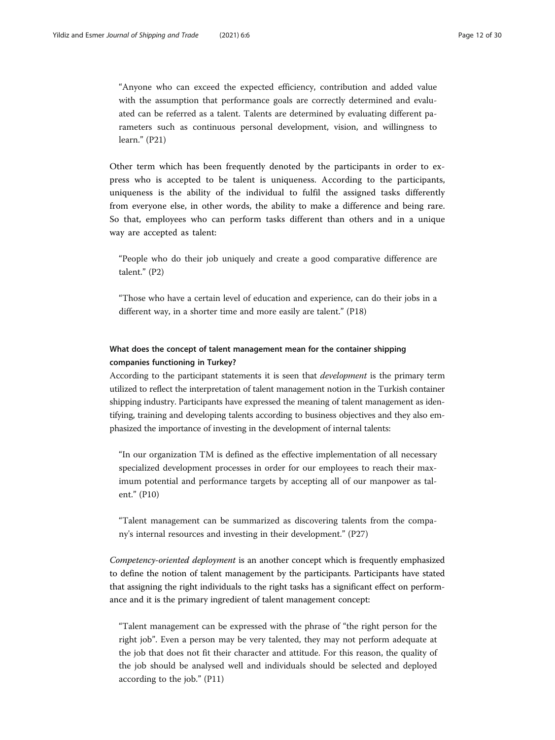"Anyone who can exceed the expected efficiency, contribution and added value with the assumption that performance goals are correctly determined and evaluated can be referred as a talent. Talents are determined by evaluating different parameters such as continuous personal development, vision, and willingness to learn." (P21)

Other term which has been frequently denoted by the participants in order to express who is accepted to be talent is uniqueness. According to the participants, uniqueness is the ability of the individual to fulfil the assigned tasks differently from everyone else, in other words, the ability to make a difference and being rare. So that, employees who can perform tasks different than others and in a unique way are accepted as talent:

"People who do their job uniquely and create a good comparative difference are talent." (P2)

"Those who have a certain level of education and experience, can do their jobs in a different way, in a shorter time and more easily are talent." (P18)

# What does the concept of talent management mean for the container shipping companies functioning in Turkey?

According to the participant statements it is seen that *development* is the primary term utilized to reflect the interpretation of talent management notion in the Turkish container shipping industry. Participants have expressed the meaning of talent management as identifying, training and developing talents according to business objectives and they also emphasized the importance of investing in the development of internal talents:

"In our organization TM is defined as the effective implementation of all necessary specialized development processes in order for our employees to reach their maximum potential and performance targets by accepting all of our manpower as talent." (P10)

"Talent management can be summarized as discovering talents from the company's internal resources and investing in their development." (P27)

Competency-oriented deployment is an another concept which is frequently emphasized to define the notion of talent management by the participants. Participants have stated that assigning the right individuals to the right tasks has a significant effect on performance and it is the primary ingredient of talent management concept:

"Talent management can be expressed with the phrase of "the right person for the right job". Even a person may be very talented, they may not perform adequate at the job that does not fit their character and attitude. For this reason, the quality of the job should be analysed well and individuals should be selected and deployed according to the job." (P11)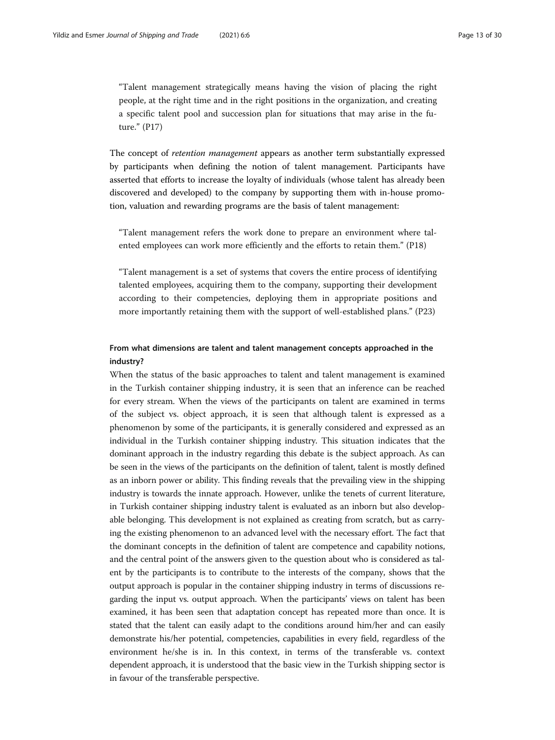"Talent management strategically means having the vision of placing the right people, at the right time and in the right positions in the organization, and creating a specific talent pool and succession plan for situations that may arise in the future." (P17)

The concept of retention management appears as another term substantially expressed by participants when defining the notion of talent management. Participants have asserted that efforts to increase the loyalty of individuals (whose talent has already been discovered and developed) to the company by supporting them with in-house promotion, valuation and rewarding programs are the basis of talent management:

"Talent management refers the work done to prepare an environment where talented employees can work more efficiently and the efforts to retain them." (P18)

"Talent management is a set of systems that covers the entire process of identifying talented employees, acquiring them to the company, supporting their development according to their competencies, deploying them in appropriate positions and more importantly retaining them with the support of well-established plans." (P23)

# From what dimensions are talent and talent management concepts approached in the industry?

When the status of the basic approaches to talent and talent management is examined in the Turkish container shipping industry, it is seen that an inference can be reached for every stream. When the views of the participants on talent are examined in terms of the subject vs. object approach, it is seen that although talent is expressed as a phenomenon by some of the participants, it is generally considered and expressed as an individual in the Turkish container shipping industry. This situation indicates that the dominant approach in the industry regarding this debate is the subject approach. As can be seen in the views of the participants on the definition of talent, talent is mostly defined as an inborn power or ability. This finding reveals that the prevailing view in the shipping industry is towards the innate approach. However, unlike the tenets of current literature, in Turkish container shipping industry talent is evaluated as an inborn but also developable belonging. This development is not explained as creating from scratch, but as carrying the existing phenomenon to an advanced level with the necessary effort. The fact that the dominant concepts in the definition of talent are competence and capability notions, and the central point of the answers given to the question about who is considered as talent by the participants is to contribute to the interests of the company, shows that the output approach is popular in the container shipping industry in terms of discussions regarding the input vs. output approach. When the participants' views on talent has been examined, it has been seen that adaptation concept has repeated more than once. It is stated that the talent can easily adapt to the conditions around him/her and can easily demonstrate his/her potential, competencies, capabilities in every field, regardless of the environment he/she is in. In this context, in terms of the transferable vs. context dependent approach, it is understood that the basic view in the Turkish shipping sector is in favour of the transferable perspective.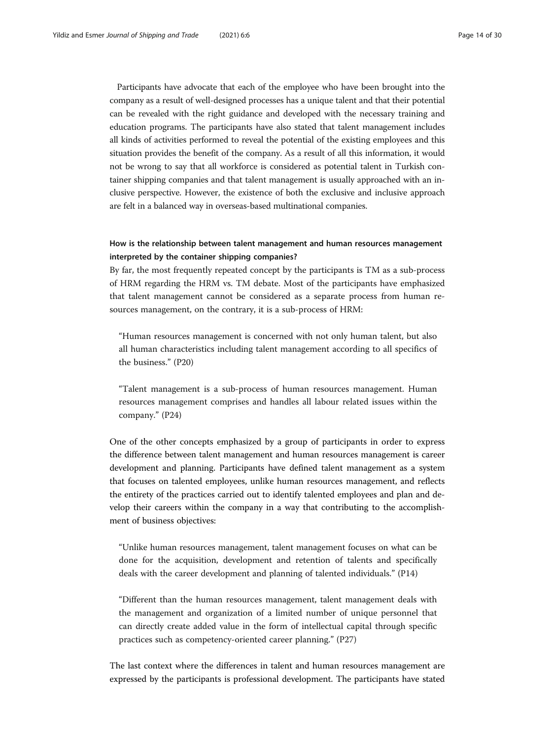Participants have advocate that each of the employee who have been brought into the company as a result of well-designed processes has a unique talent and that their potential can be revealed with the right guidance and developed with the necessary training and education programs. The participants have also stated that talent management includes all kinds of activities performed to reveal the potential of the existing employees and this situation provides the benefit of the company. As a result of all this information, it would not be wrong to say that all workforce is considered as potential talent in Turkish container shipping companies and that talent management is usually approached with an inclusive perspective. However, the existence of both the exclusive and inclusive approach are felt in a balanced way in overseas-based multinational companies.

# How is the relationship between talent management and human resources management interpreted by the container shipping companies?

By far, the most frequently repeated concept by the participants is TM as a sub-process of HRM regarding the HRM vs. TM debate. Most of the participants have emphasized that talent management cannot be considered as a separate process from human resources management, on the contrary, it is a sub-process of HRM:

"Human resources management is concerned with not only human talent, but also all human characteristics including talent management according to all specifics of the business." (P20)

"Talent management is a sub-process of human resources management. Human resources management comprises and handles all labour related issues within the company." (P24)

One of the other concepts emphasized by a group of participants in order to express the difference between talent management and human resources management is career development and planning. Participants have defined talent management as a system that focuses on talented employees, unlike human resources management, and reflects the entirety of the practices carried out to identify talented employees and plan and develop their careers within the company in a way that contributing to the accomplishment of business objectives:

"Unlike human resources management, talent management focuses on what can be done for the acquisition, development and retention of talents and specifically deals with the career development and planning of talented individuals." (P14)

"Different than the human resources management, talent management deals with the management and organization of a limited number of unique personnel that can directly create added value in the form of intellectual capital through specific practices such as competency-oriented career planning." (P27)

The last context where the differences in talent and human resources management are expressed by the participants is professional development. The participants have stated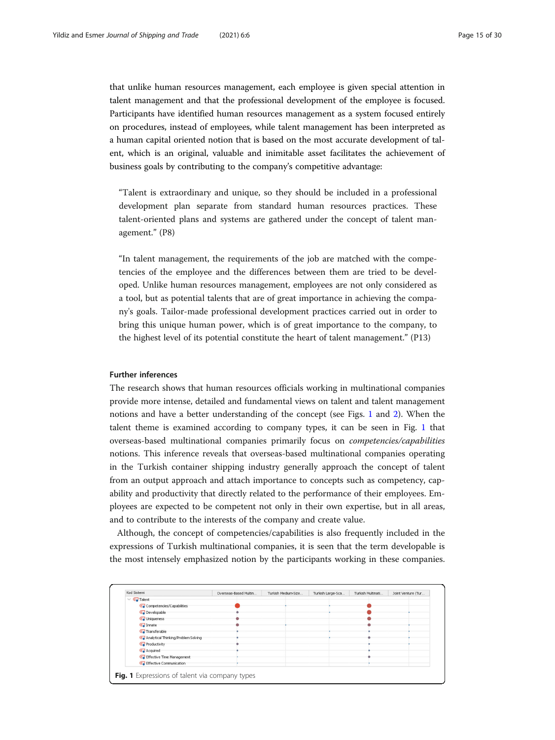that unlike human resources management, each employee is given special attention in talent management and that the professional development of the employee is focused. Participants have identified human resources management as a system focused entirely on procedures, instead of employees, while talent management has been interpreted as a human capital oriented notion that is based on the most accurate development of talent, which is an original, valuable and inimitable asset facilitates the achievement of business goals by contributing to the company's competitive advantage:

"Talent is extraordinary and unique, so they should be included in a professional development plan separate from standard human resources practices. These talent-oriented plans and systems are gathered under the concept of talent management." (P8)

"In talent management, the requirements of the job are matched with the competencies of the employee and the differences between them are tried to be developed. Unlike human resources management, employees are not only considered as a tool, but as potential talents that are of great importance in achieving the company's goals. Tailor-made professional development practices carried out in order to bring this unique human power, which is of great importance to the company, to the highest level of its potential constitute the heart of talent management." (P13)

## Further inferences

The research shows that human resources officials working in multinational companies provide more intense, detailed and fundamental views on talent and talent management notions and have a better understanding of the concept (see Figs. 1 and [2](#page-15-0)). When the talent theme is examined according to company types, it can be seen in Fig. 1 that overseas-based multinational companies primarily focus on competencies/capabilities notions. This inference reveals that overseas-based multinational companies operating in the Turkish container shipping industry generally approach the concept of talent from an output approach and attach importance to concepts such as competency, capability and productivity that directly related to the performance of their employees. Employees are expected to be competent not only in their own expertise, but in all areas, and to contribute to the interests of the company and create value.

Although, the concept of competencies/capabilities is also frequently included in the expressions of Turkish multinational companies, it is seen that the term developable is the most intensely emphasized notion by the participants working in these companies.

|                                     | Overseas-Based Multin | Turkish Medium-Size | Turkish Large-Sca | Turkish Multinati | Joint Venture (Tur |
|-------------------------------------|-----------------------|---------------------|-------------------|-------------------|--------------------|
| $\vee$ $\qquadblacksquare$ Talent   |                       |                     |                   |                   |                    |
| Competencies/Capabilities           |                       |                     |                   |                   |                    |
| Co Developable                      |                       |                     |                   |                   |                    |
| Co Uniqueness                       |                       |                     |                   |                   |                    |
| <b>C</b> Innate                     |                       |                     |                   |                   |                    |
| Transferable                        |                       |                     |                   |                   |                    |
| Analytical Thinking/Problem Solving |                       |                     |                   |                   |                    |
| <b>Co</b> Productivity              |                       |                     |                   |                   |                    |
| <b>Acquired</b>                     |                       |                     |                   |                   |                    |
| <b>Co</b> Effective Time Management |                       |                     |                   |                   |                    |
| <b>Co</b> Effective Communication   |                       |                     |                   |                   |                    |
|                                     |                       |                     |                   |                   |                    |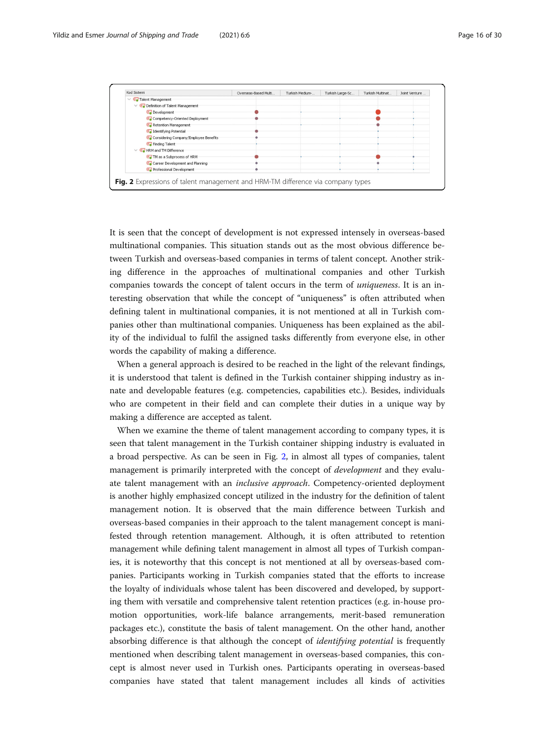<span id="page-15-0"></span>

| Kod Sistemi                                                                            | Overseas-Based Multi | Turkish Medium | Turkish Large-Sc | Turkish Multinat | Joint Venture |  |
|----------------------------------------------------------------------------------------|----------------------|----------------|------------------|------------------|---------------|--|
| $\vee$ <b>e.</b> Talent Management                                                     |                      |                |                  |                  |               |  |
| $\vee$ <b>Q</b> Definition of Talent Management                                        |                      |                |                  |                  |               |  |
| Co Development                                                                         |                      |                |                  |                  |               |  |
| Competency-Oriented Deployment                                                         |                      |                |                  |                  |               |  |
| Retention Management                                                                   |                      |                |                  |                  |               |  |
| <b>Co</b> Identifying Potential                                                        |                      |                |                  |                  |               |  |
| Considering Company/Employee Benefits                                                  |                      |                |                  |                  |               |  |
| <b>Co</b> Finding Talent                                                               |                      |                |                  |                  |               |  |
| $\vee$ <b>e.</b> HRM and TM Difference                                                 |                      |                |                  |                  |               |  |
| <b>Co</b> TM as a Subprocess of HRM                                                    |                      |                |                  |                  |               |  |
| Career Development and Planning                                                        |                      |                |                  |                  |               |  |
| <b>C</b> Professional Development                                                      |                      |                |                  |                  |               |  |
|                                                                                        |                      |                |                  |                  |               |  |
| <b>Fig. 2</b> Expressions of talent management and HRM-TM difference via company types |                      |                |                  |                  |               |  |

It is seen that the concept of development is not expressed intensely in overseas-based multinational companies. This situation stands out as the most obvious difference between Turkish and overseas-based companies in terms of talent concept. Another striking difference in the approaches of multinational companies and other Turkish companies towards the concept of talent occurs in the term of uniqueness. It is an interesting observation that while the concept of "uniqueness" is often attributed when defining talent in multinational companies, it is not mentioned at all in Turkish companies other than multinational companies. Uniqueness has been explained as the ability of the individual to fulfil the assigned tasks differently from everyone else, in other words the capability of making a difference.

When a general approach is desired to be reached in the light of the relevant findings, it is understood that talent is defined in the Turkish container shipping industry as innate and developable features (e.g. competencies, capabilities etc.). Besides, individuals who are competent in their field and can complete their duties in a unique way by making a difference are accepted as talent.

When we examine the theme of talent management according to company types, it is seen that talent management in the Turkish container shipping industry is evaluated in a broad perspective. As can be seen in Fig. 2, in almost all types of companies, talent management is primarily interpreted with the concept of *development* and they evaluate talent management with an inclusive approach. Competency-oriented deployment is another highly emphasized concept utilized in the industry for the definition of talent management notion. It is observed that the main difference between Turkish and overseas-based companies in their approach to the talent management concept is manifested through retention management. Although, it is often attributed to retention management while defining talent management in almost all types of Turkish companies, it is noteworthy that this concept is not mentioned at all by overseas-based companies. Participants working in Turkish companies stated that the efforts to increase the loyalty of individuals whose talent has been discovered and developed, by supporting them with versatile and comprehensive talent retention practices (e.g. in-house promotion opportunities, work-life balance arrangements, merit-based remuneration packages etc.), constitute the basis of talent management. On the other hand, another absorbing difference is that although the concept of *identifying potential* is frequently mentioned when describing talent management in overseas-based companies, this concept is almost never used in Turkish ones. Participants operating in overseas-based companies have stated that talent management includes all kinds of activities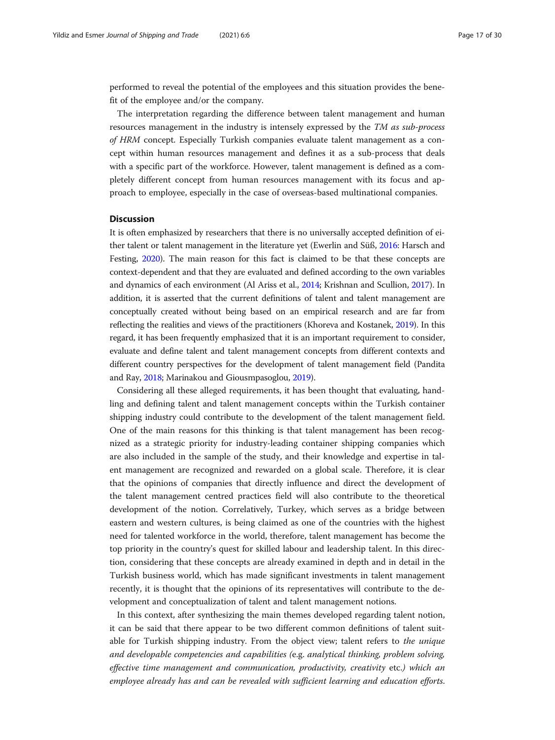performed to reveal the potential of the employees and this situation provides the benefit of the employee and/or the company.

The interpretation regarding the difference between talent management and human resources management in the industry is intensely expressed by the TM as sub-process of HRM concept. Especially Turkish companies evaluate talent management as a concept within human resources management and defines it as a sub-process that deals with a specific part of the workforce. However, talent management is defined as a completely different concept from human resources management with its focus and approach to employee, especially in the case of overseas-based multinational companies.

## **Discussion**

It is often emphasized by researchers that there is no universally accepted definition of either talent or talent management in the literature yet (Ewerlin and Süß, [2016:](#page-27-0) Harsch and Festing, [2020\)](#page-27-0). The main reason for this fact is claimed to be that these concepts are context-dependent and that they are evaluated and defined according to the own variables and dynamics of each environment (Al Ariss et al., [2014;](#page-26-0) Krishnan and Scullion, [2017](#page-28-0)). In addition, it is asserted that the current definitions of talent and talent management are conceptually created without being based on an empirical research and are far from reflecting the realities and views of the practitioners (Khoreva and Kostanek, [2019](#page-28-0)). In this regard, it has been frequently emphasized that it is an important requirement to consider, evaluate and define talent and talent management concepts from different contexts and different country perspectives for the development of talent management field (Pandita and Ray, [2018;](#page-28-0) Marinakou and Giousmpasoglou, [2019\)](#page-28-0).

Considering all these alleged requirements, it has been thought that evaluating, handling and defining talent and talent management concepts within the Turkish container shipping industry could contribute to the development of the talent management field. One of the main reasons for this thinking is that talent management has been recognized as a strategic priority for industry-leading container shipping companies which are also included in the sample of the study, and their knowledge and expertise in talent management are recognized and rewarded on a global scale. Therefore, it is clear that the opinions of companies that directly influence and direct the development of the talent management centred practices field will also contribute to the theoretical development of the notion. Correlatively, Turkey, which serves as a bridge between eastern and western cultures, is being claimed as one of the countries with the highest need for talented workforce in the world, therefore, talent management has become the top priority in the country's quest for skilled labour and leadership talent. In this direction, considering that these concepts are already examined in depth and in detail in the Turkish business world, which has made significant investments in talent management recently, it is thought that the opinions of its representatives will contribute to the development and conceptualization of talent and talent management notions.

In this context, after synthesizing the main themes developed regarding talent notion, it can be said that there appear to be two different common definitions of talent suitable for Turkish shipping industry. From the object view; talent refers to the unique and developable competencies and capabilities (e.g. analytical thinking, problem solving, effective time management and communication, productivity, creativity etc.) which an employee already has and can be revealed with sufficient learning and education efforts.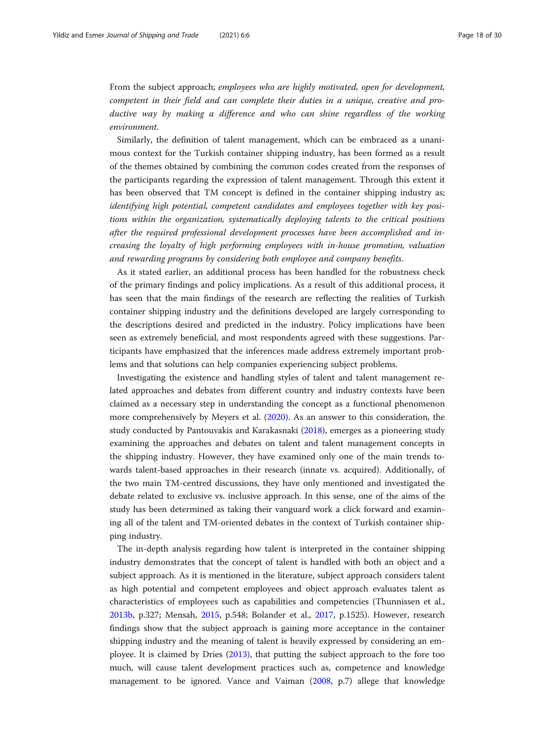From the subject approach; employees who are highly motivated, open for development, competent in their field and can complete their duties in a unique, creative and productive way by making a difference and who can shine regardless of the working environment.

Similarly, the definition of talent management, which can be embraced as a unanimous context for the Turkish container shipping industry, has been formed as a result of the themes obtained by combining the common codes created from the responses of the participants regarding the expression of talent management. Through this extent it has been observed that TM concept is defined in the container shipping industry as; identifying high potential, competent candidates and employees together with key positions within the organization, systematically deploying talents to the critical positions after the required professional development processes have been accomplished and increasing the loyalty of high performing employees with in-house promotion, valuation and rewarding programs by considering both employee and company benefits.

As it stated earlier, an additional process has been handled for the robustness check of the primary findings and policy implications. As a result of this additional process, it has seen that the main findings of the research are reflecting the realities of Turkish container shipping industry and the definitions developed are largely corresponding to the descriptions desired and predicted in the industry. Policy implications have been seen as extremely beneficial, and most respondents agreed with these suggestions. Participants have emphasized that the inferences made address extremely important problems and that solutions can help companies experiencing subject problems.

Investigating the existence and handling styles of talent and talent management related approaches and debates from different country and industry contexts have been claimed as a necessary step in understanding the concept as a functional phenomenon more comprehensively by Meyers et al. ([2020](#page-28-0)). As an answer to this consideration, the study conducted by Pantouvakis and Karakasnaki [\(2018\)](#page-28-0), emerges as a pioneering study examining the approaches and debates on talent and talent management concepts in the shipping industry. However, they have examined only one of the main trends towards talent-based approaches in their research (innate vs. acquired). Additionally, of the two main TM-centred discussions, they have only mentioned and investigated the debate related to exclusive vs. inclusive approach. In this sense, one of the aims of the study has been determined as taking their vanguard work a click forward and examining all of the talent and TM-oriented debates in the context of Turkish container shipping industry.

The in-depth analysis regarding how talent is interpreted in the container shipping industry demonstrates that the concept of talent is handled with both an object and a subject approach. As it is mentioned in the literature, subject approach considers talent as high potential and competent employees and object approach evaluates talent as characteristics of employees such as capabilities and competencies (Thunnissen et al., [2013b](#page-29-0), p.327; Mensah, [2015,](#page-28-0) p.548; Bolander et al., [2017,](#page-26-0) p.1525). However, research findings show that the subject approach is gaining more acceptance in the container shipping industry and the meaning of talent is heavily expressed by considering an employee. It is claimed by Dries ([2013](#page-27-0)), that putting the subject approach to the fore too much, will cause talent development practices such as, competence and knowledge management to be ignored. Vance and Vaiman ([2008](#page-29-0), p.7) allege that knowledge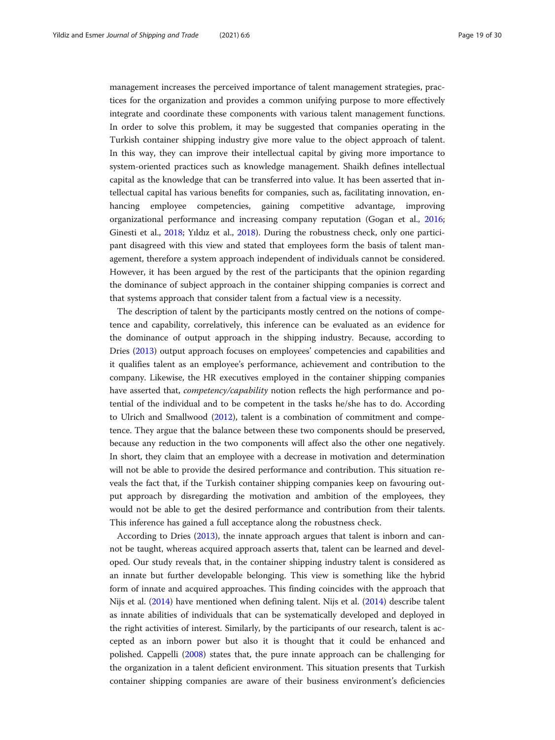management increases the perceived importance of talent management strategies, practices for the organization and provides a common unifying purpose to more effectively integrate and coordinate these components with various talent management functions. In order to solve this problem, it may be suggested that companies operating in the Turkish container shipping industry give more value to the object approach of talent. In this way, they can improve their intellectual capital by giving more importance to system-oriented practices such as knowledge management. Shaikh defines intellectual capital as the knowledge that can be transferred into value. It has been asserted that intellectual capital has various benefits for companies, such as, facilitating innovation, enhancing employee competencies, gaining competitive advantage, improving organizational performance and increasing company reputation (Gogan et al., [2016](#page-27-0); Ginesti et al., [2018](#page-27-0); Yıldız et al., [2018](#page-29-0)). During the robustness check, only one participant disagreed with this view and stated that employees form the basis of talent management, therefore a system approach independent of individuals cannot be considered. However, it has been argued by the rest of the participants that the opinion regarding the dominance of subject approach in the container shipping companies is correct and that systems approach that consider talent from a factual view is a necessity.

The description of talent by the participants mostly centred on the notions of competence and capability, correlatively, this inference can be evaluated as an evidence for the dominance of output approach in the shipping industry. Because, according to Dries ([2013](#page-27-0)) output approach focuses on employees' competencies and capabilities and it qualifies talent as an employee's performance, achievement and contribution to the company. Likewise, the HR executives employed in the container shipping companies have asserted that, *competency/capability* notion reflects the high performance and potential of the individual and to be competent in the tasks he/she has to do. According to Ulrich and Smallwood [\(2012\)](#page-29-0), talent is a combination of commitment and competence. They argue that the balance between these two components should be preserved, because any reduction in the two components will affect also the other one negatively. In short, they claim that an employee with a decrease in motivation and determination will not be able to provide the desired performance and contribution. This situation reveals the fact that, if the Turkish container shipping companies keep on favouring output approach by disregarding the motivation and ambition of the employees, they would not be able to get the desired performance and contribution from their talents. This inference has gained a full acceptance along the robustness check.

According to Dries [\(2013\)](#page-27-0), the innate approach argues that talent is inborn and cannot be taught, whereas acquired approach asserts that, talent can be learned and developed. Our study reveals that, in the container shipping industry talent is considered as an innate but further developable belonging. This view is something like the hybrid form of innate and acquired approaches. This finding coincides with the approach that Nijs et al. ([2014](#page-28-0)) have mentioned when defining talent. Nijs et al. [\(2014\)](#page-28-0) describe talent as innate abilities of individuals that can be systematically developed and deployed in the right activities of interest. Similarly, by the participants of our research, talent is accepted as an inborn power but also it is thought that it could be enhanced and polished. Cappelli [\(2008](#page-26-0)) states that, the pure innate approach can be challenging for the organization in a talent deficient environment. This situation presents that Turkish container shipping companies are aware of their business environment's deficiencies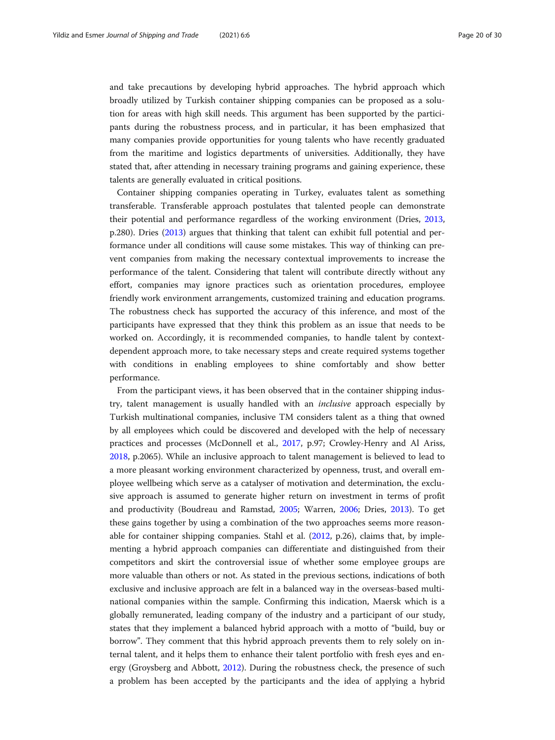and take precautions by developing hybrid approaches. The hybrid approach which broadly utilized by Turkish container shipping companies can be proposed as a solution for areas with high skill needs. This argument has been supported by the participants during the robustness process, and in particular, it has been emphasized that many companies provide opportunities for young talents who have recently graduated from the maritime and logistics departments of universities. Additionally, they have stated that, after attending in necessary training programs and gaining experience, these talents are generally evaluated in critical positions.

Container shipping companies operating in Turkey, evaluates talent as something transferable. Transferable approach postulates that talented people can demonstrate their potential and performance regardless of the working environment (Dries, [2013](#page-27-0), p.280). Dries ([2013](#page-27-0)) argues that thinking that talent can exhibit full potential and performance under all conditions will cause some mistakes. This way of thinking can prevent companies from making the necessary contextual improvements to increase the performance of the talent. Considering that talent will contribute directly without any effort, companies may ignore practices such as orientation procedures, employee friendly work environment arrangements, customized training and education programs. The robustness check has supported the accuracy of this inference, and most of the participants have expressed that they think this problem as an issue that needs to be worked on. Accordingly, it is recommended companies, to handle talent by contextdependent approach more, to take necessary steps and create required systems together with conditions in enabling employees to shine comfortably and show better performance.

From the participant views, it has been observed that in the container shipping industry, talent management is usually handled with an inclusive approach especially by Turkish multinational companies, inclusive TM considers talent as a thing that owned by all employees which could be discovered and developed with the help of necessary practices and processes (McDonnell et al., [2017,](#page-28-0) p.97; Crowley-Henry and Al Ariss, [2018](#page-27-0), p.2065). While an inclusive approach to talent management is believed to lead to a more pleasant working environment characterized by openness, trust, and overall employee wellbeing which serve as a catalyser of motivation and determination, the exclusive approach is assumed to generate higher return on investment in terms of profit and productivity (Boudreau and Ramstad, [2005;](#page-26-0) Warren, [2006](#page-29-0); Dries, [2013](#page-27-0)). To get these gains together by using a combination of the two approaches seems more reasonable for container shipping companies. Stahl et al. ([2012](#page-29-0), p.26), claims that, by implementing a hybrid approach companies can differentiate and distinguished from their competitors and skirt the controversial issue of whether some employee groups are more valuable than others or not. As stated in the previous sections, indications of both exclusive and inclusive approach are felt in a balanced way in the overseas-based multinational companies within the sample. Confirming this indication, Maersk which is a globally remunerated, leading company of the industry and a participant of our study, states that they implement a balanced hybrid approach with a motto of "build, buy or borrow". They comment that this hybrid approach prevents them to rely solely on internal talent, and it helps them to enhance their talent portfolio with fresh eyes and energy (Groysberg and Abbott, [2012](#page-27-0)). During the robustness check, the presence of such a problem has been accepted by the participants and the idea of applying a hybrid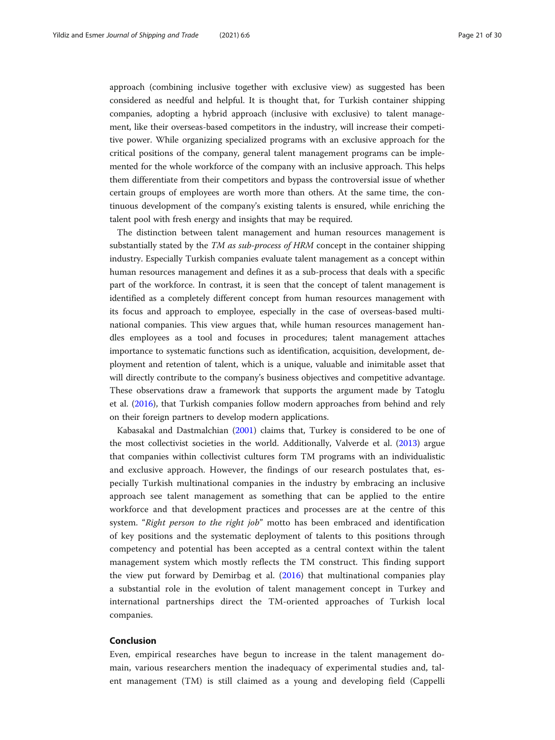approach (combining inclusive together with exclusive view) as suggested has been considered as needful and helpful. It is thought that, for Turkish container shipping companies, adopting a hybrid approach (inclusive with exclusive) to talent management, like their overseas-based competitors in the industry, will increase their competitive power. While organizing specialized programs with an exclusive approach for the critical positions of the company, general talent management programs can be implemented for the whole workforce of the company with an inclusive approach. This helps them differentiate from their competitors and bypass the controversial issue of whether certain groups of employees are worth more than others. At the same time, the continuous development of the company's existing talents is ensured, while enriching the talent pool with fresh energy and insights that may be required.

The distinction between talent management and human resources management is substantially stated by the TM as sub-process of HRM concept in the container shipping industry. Especially Turkish companies evaluate talent management as a concept within human resources management and defines it as a sub-process that deals with a specific part of the workforce. In contrast, it is seen that the concept of talent management is identified as a completely different concept from human resources management with its focus and approach to employee, especially in the case of overseas-based multinational companies. This view argues that, while human resources management handles employees as a tool and focuses in procedures; talent management attaches importance to systematic functions such as identification, acquisition, development, deployment and retention of talent, which is a unique, valuable and inimitable asset that will directly contribute to the company's business objectives and competitive advantage. These observations draw a framework that supports the argument made by Tatoglu et al. ([2016](#page-29-0)), that Turkish companies follow modern approaches from behind and rely on their foreign partners to develop modern applications.

Kabasakal and Dastmalchian ([2001](#page-28-0)) claims that, Turkey is considered to be one of the most collectivist societies in the world. Additionally, Valverde et al. [\(2013\)](#page-29-0) argue that companies within collectivist cultures form TM programs with an individualistic and exclusive approach. However, the findings of our research postulates that, especially Turkish multinational companies in the industry by embracing an inclusive approach see talent management as something that can be applied to the entire workforce and that development practices and processes are at the centre of this system. "Right person to the right job" motto has been embraced and identification of key positions and the systematic deployment of talents to this positions through competency and potential has been accepted as a central context within the talent management system which mostly reflects the TM construct. This finding support the view put forward by Demirbag et al. ([2016\)](#page-27-0) that multinational companies play a substantial role in the evolution of talent management concept in Turkey and international partnerships direct the TM-oriented approaches of Turkish local companies.

## Conclusion

Even, empirical researches have begun to increase in the talent management domain, various researchers mention the inadequacy of experimental studies and, talent management (TM) is still claimed as a young and developing field (Cappelli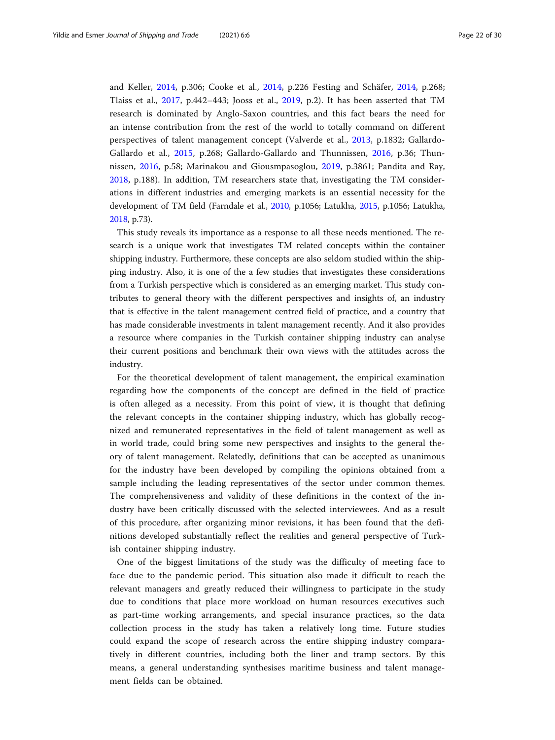and Keller, [2014](#page-26-0), p.306; Cooke et al., [2014,](#page-27-0) p.226 Festing and Schäfer, [2014](#page-27-0), p.268; Tlaiss et al., [2017](#page-29-0), p.442–443; Jooss et al., [2019,](#page-27-0) p.2). It has been asserted that TM research is dominated by Anglo-Saxon countries, and this fact bears the need for an intense contribution from the rest of the world to totally command on different perspectives of talent management concept (Valverde et al., [2013](#page-29-0), p.1832; Gallardo-Gallardo et al., [2015](#page-27-0), p.268; Gallardo-Gallardo and Thunnissen, [2016,](#page-27-0) p.36; Thunnissen, [2016,](#page-29-0) p.58; Marinakou and Giousmpasoglou, [2019](#page-28-0), p.3861; Pandita and Ray, [2018,](#page-28-0) p.188). In addition, TM researchers state that, investigating the TM considerations in different industries and emerging markets is an essential necessity for the development of TM field (Farndale et al., [2010](#page-27-0), p.1056; Latukha, [2015](#page-28-0), p.1056; Latukha, [2018,](#page-28-0) p.73).

This study reveals its importance as a response to all these needs mentioned. The research is a unique work that investigates TM related concepts within the container shipping industry. Furthermore, these concepts are also seldom studied within the shipping industry. Also, it is one of the a few studies that investigates these considerations from a Turkish perspective which is considered as an emerging market. This study contributes to general theory with the different perspectives and insights of, an industry that is effective in the talent management centred field of practice, and a country that has made considerable investments in talent management recently. And it also provides a resource where companies in the Turkish container shipping industry can analyse their current positions and benchmark their own views with the attitudes across the industry.

For the theoretical development of talent management, the empirical examination regarding how the components of the concept are defined in the field of practice is often alleged as a necessity. From this point of view, it is thought that defining the relevant concepts in the container shipping industry, which has globally recognized and remunerated representatives in the field of talent management as well as in world trade, could bring some new perspectives and insights to the general theory of talent management. Relatedly, definitions that can be accepted as unanimous for the industry have been developed by compiling the opinions obtained from a sample including the leading representatives of the sector under common themes. The comprehensiveness and validity of these definitions in the context of the industry have been critically discussed with the selected interviewees. And as a result of this procedure, after organizing minor revisions, it has been found that the definitions developed substantially reflect the realities and general perspective of Turkish container shipping industry.

One of the biggest limitations of the study was the difficulty of meeting face to face due to the pandemic period. This situation also made it difficult to reach the relevant managers and greatly reduced their willingness to participate in the study due to conditions that place more workload on human resources executives such as part-time working arrangements, and special insurance practices, so the data collection process in the study has taken a relatively long time. Future studies could expand the scope of research across the entire shipping industry comparatively in different countries, including both the liner and tramp sectors. By this means, a general understanding synthesises maritime business and talent management fields can be obtained.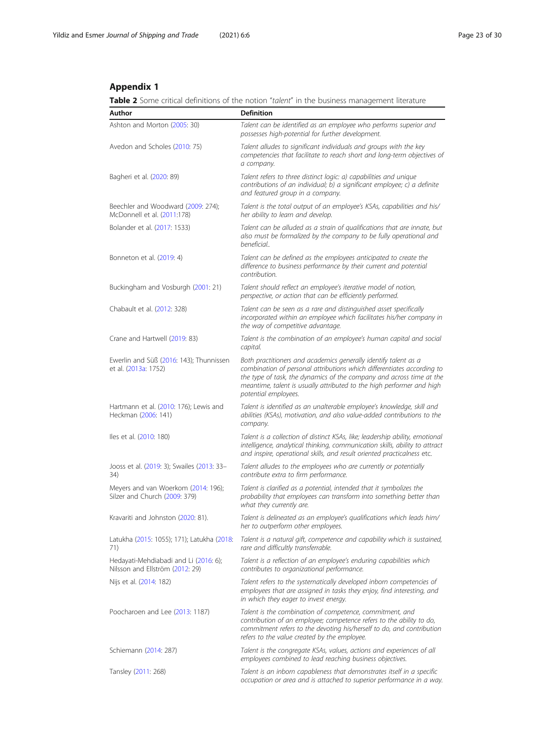# <span id="page-22-0"></span>Appendix 1

Table 2 Some critical definitions of the notion "talent" in the business management literature

| Author                                                                   | <b>Definition</b>                                                                                                                                                                                                                                                                                                  |  |  |  |  |
|--------------------------------------------------------------------------|--------------------------------------------------------------------------------------------------------------------------------------------------------------------------------------------------------------------------------------------------------------------------------------------------------------------|--|--|--|--|
| Ashton and Morton (2005: 30)                                             | Talent can be identified as an employee who performs superior and<br>possesses high-potential for further development.                                                                                                                                                                                             |  |  |  |  |
| Avedon and Scholes (2010: 75)                                            | Talent alludes to significant individuals and groups with the key<br>competencies that facilitate to reach short and long-term objectives of<br>a company.                                                                                                                                                         |  |  |  |  |
| Bagheri et al. (2020: 89)                                                | Talent refers to three distinct logic: a) capabilities and unique<br>contributions of an individual; b) a significant employee; c) a definite<br>and featured group in a company.                                                                                                                                  |  |  |  |  |
| Beechler and Woodward (2009: 274);<br>McDonnell et al. (2011:178)        | Talent is the total output of an employee's KSAs, capabilities and his/<br>her ability to learn and develop.                                                                                                                                                                                                       |  |  |  |  |
| Bolander et al. (2017: 1533)                                             | Talent can be alluded as a strain of qualifications that are innate, but<br>also must be formalized by the company to be fully operational and<br>beneficial                                                                                                                                                       |  |  |  |  |
| Bonneton et al. (2019: 4)                                                | Talent can be defined as the employees anticipated to create the<br>difference to business performance by their current and potential<br>contribution.                                                                                                                                                             |  |  |  |  |
| Buckingham and Vosburgh (2001: 21)                                       | Talent should reflect an employee's iterative model of notion,<br>perspective, or action that can be efficiently performed.                                                                                                                                                                                        |  |  |  |  |
| Chabault et al. (2012: 328)                                              | Talent can be seen as a rare and distinguished asset specifically<br>incorporated within an employee which facilitates his/her company in<br>the way of competitive advantage.                                                                                                                                     |  |  |  |  |
| Crane and Hartwell (2019: 83)                                            | Talent is the combination of an employee's human capital and social<br>capital.                                                                                                                                                                                                                                    |  |  |  |  |
| Ewerlin and Süß (2016: 143); Thunnissen<br>et al. (2013a: 1752)          | Both practitioners and academics generally identify talent as a<br>combination of personal attributions which differentiates according to<br>the type of task, the dynamics of the company and across time at the<br>meantime, talent is usually attributed to the high performer and high<br>potential employees. |  |  |  |  |
| Hartmann et al. (2010: 176); Lewis and<br>Heckman (2006: 141)            | Talent is identified as an unalterable employee's knowledge, skill and<br>abilities (KSAs), motivation, and also value-added contributions to the<br>company.                                                                                                                                                      |  |  |  |  |
| lles et al. (2010: 180)                                                  | Talent is a collection of distinct KSAs, like; leadership ability, emotional<br>intelligence, analytical thinking, communication skills, ability to attract<br>and inspire, operational skills, and result oriented practicalness etc.                                                                             |  |  |  |  |
| Jooss et al. (2019: 3); Swailes (2013: 33-<br>34)                        | Talent alludes to the employees who are currently or potentially<br>contribute extra to firm performance.                                                                                                                                                                                                          |  |  |  |  |
| Meyers and van Woerkom (2014: 196);<br>Silzer and Church (2009: 379)     | Talent is clarified as a potential, intended that it symbolizes the<br>probability that employees can transform into something better than<br>what they currently are.                                                                                                                                             |  |  |  |  |
| Kravariti and Johnston (2020: 81).                                       | Talent is delineated as an employee's qualifications which leads him/<br>her to outperform other employees.                                                                                                                                                                                                        |  |  |  |  |
| Latukha (2015: 1055); 171); Latukha (2018:<br>71)                        | Talent is a natural gift, competence and capability which is sustained,<br>rare and difficultly transferrable.                                                                                                                                                                                                     |  |  |  |  |
| Hedayati-Mehdiabadi and Li (2016: 6);<br>Nilsson and Ellström (2012: 29) | Talent is a reflection of an employee's enduring capabilities which<br>contributes to organizational performance.                                                                                                                                                                                                  |  |  |  |  |
| Nijs et al. (2014: 182)                                                  | Talent refers to the systematically developed inborn competencies of<br>employees that are assigned in tasks they enjoy, find interesting, and<br>in which they eager to invest energy.                                                                                                                            |  |  |  |  |
| Poocharoen and Lee (2013: 1187)                                          | Talent is the combination of competence, commitment, and<br>contribution of an employee; competence refers to the ability to do,<br>commitment refers to the devoting his/herself to do, and contribution<br>refers to the value created by the employee.                                                          |  |  |  |  |
| Schiemann (2014: 287)                                                    | Talent is the congregate KSAs, values, actions and experiences of all<br>employees combined to lead reaching business objectives.                                                                                                                                                                                  |  |  |  |  |
| Tansley (2011: 268)                                                      | Talent is an inborn capableness that demonstrates itself in a specific<br>occupation or area and is attached to superior performance in a way.                                                                                                                                                                     |  |  |  |  |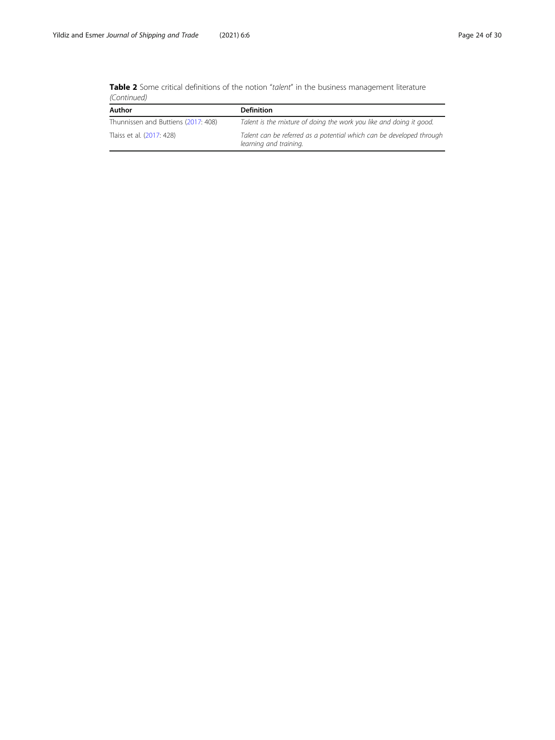| <b>Table 2</b> Some critical definitions of the notion "talent" in the business management literature |  |  |  |  |  |
|-------------------------------------------------------------------------------------------------------|--|--|--|--|--|
| (Continued)                                                                                           |  |  |  |  |  |

| Author                              | <b>Definition</b>                                                                              |  |  |  |
|-------------------------------------|------------------------------------------------------------------------------------------------|--|--|--|
| Thunnissen and Buttiens (2017: 408) | Talent is the mixture of doing the work you like and doing it good.                            |  |  |  |
| Tlaiss et al. (2017: 428)           | Talent can be referred as a potential which can be developed through<br>learning and training. |  |  |  |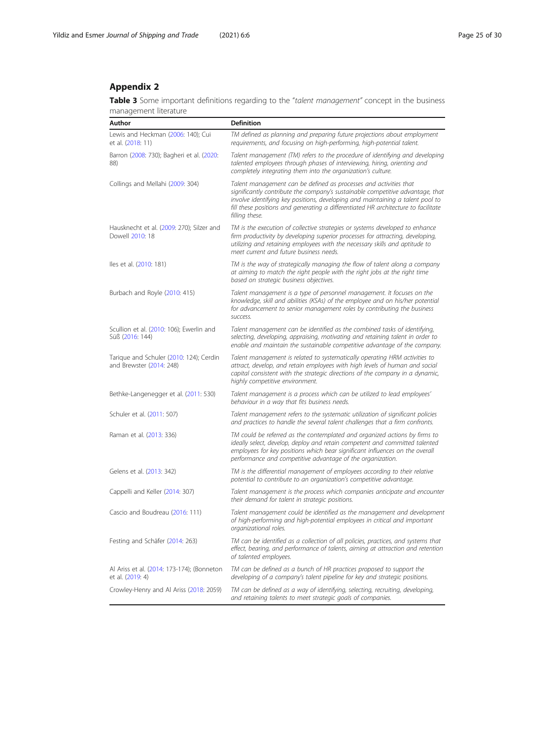# <span id="page-24-0"></span>Appendix 2

Table 3 Some important definitions regarding to the "talent management" concept in the business management literature

| Author                                                              | <b>Definition</b>                                                                                                                                                                                                                                                                                                                             |
|---------------------------------------------------------------------|-----------------------------------------------------------------------------------------------------------------------------------------------------------------------------------------------------------------------------------------------------------------------------------------------------------------------------------------------|
| Lewis and Heckman (2006: 140); Cui<br>et al. (2018: 11)             | TM defined as planning and preparing future projections about employment<br>requirements, and focusing on high-performing, high-potential talent.                                                                                                                                                                                             |
| Barron (2008: 730); Bagheri et al. (2020:<br>88)                    | Talent management (TM) refers to the procedure of identifying and developing<br>talented employees through phases of interviewing, hiring, orienting and<br>completely integrating them into the organization's culture.                                                                                                                      |
| Collings and Mellahi (2009: 304)                                    | Talent management can be defined as processes and activities that<br>significantly contribute the company's sustainable competitive advantage, that<br>involve identifying key positions, developing and maintaining a talent pool to<br>fill these positions and generating a differentiated HR architecture to facilitate<br>filling these. |
| Hausknecht et al. (2009: 270); Silzer and<br>Dowell 2010: 18        | TM is the execution of collective strategies or systems developed to enhance<br>firm productivity by developing superior processes for attracting, developing,<br>utilizing and retaining employees with the necessary skills and aptitude to<br>meet current and future business needs.                                                      |
| lles et al. (2010: 181)                                             | TM is the way of strategically managing the flow of talent along a company<br>at aiming to match the right people with the right jobs at the right time<br>based on strategic business objectives.                                                                                                                                            |
| Burbach and Royle (2010: 415)                                       | Talent management is a type of personnel management. It focuses on the<br>knowledge, skill and abilities (KSAs) of the employee and on his/her potential<br>for advancement to senior management roles by contributing the business<br>success.                                                                                               |
| Scullion et al. (2010: 106); Ewerlin and<br>Süß (2016: 144)         | Talent management can be identified as the combined tasks of identifying,<br>selecting, developing, appraising, motivating and retaining talent in order to<br>enable and maintain the sustainable competitive advantage of the company.                                                                                                      |
| Tarique and Schuler (2010: 124); Cerdin<br>and Brewster (2014: 248) | Talent management is related to systematically operating HRM activities to<br>attract, develop, and retain employees with high levels of human and social<br>capital consistent with the strategic directions of the company in a dynamic,<br>highly competitive environment.                                                                 |
| Bethke-Langenegger et al. (2011: 530)                               | Talent management is a process which can be utilized to lead employees'<br>behaviour in a way that fits business needs.                                                                                                                                                                                                                       |
| Schuler et al. (2011: 507)                                          | Talent management refers to the systematic utilization of significant policies<br>and practices to handle the several talent challenges that a firm confronts.                                                                                                                                                                                |
| Raman et al. (2013: 336)                                            | TM could be referred as the contemplated and organized actions by firms to<br>ideally select, develop, deploy and retain competent and committed talented<br>employees for key positions which bear significant influences on the overall<br>performance and competitive advantage of the organization.                                       |
| Gelens et al. (2013: 342)                                           | TM is the differential management of employees according to their relative<br>potential to contribute to an organization's competitive advantage.                                                                                                                                                                                             |
| Cappelli and Keller (2014: 307)                                     | Talent management is the process which companies anticipate and encounter<br>their demand for talent in strategic positions.                                                                                                                                                                                                                  |
| Cascio and Boudreau (2016: 111)                                     | Talent management could be identified as the management and development<br>of high-performing and high-potential employees in critical and important<br>organizational roles.                                                                                                                                                                 |
| Festing and Schäfer (2014: 263)                                     | TM can be identified as a collection of all policies, practices, and systems that<br>effect, bearing, and performance of talents, aiming at attraction and retention<br>of talented employees.                                                                                                                                                |
| Al Ariss et al. (2014: 173-174); (Bonneton<br>et al. (2019: 4)      | TM can be defined as a bunch of HR practices proposed to support the<br>developing of a company's talent pipeline for key and strategic positions.                                                                                                                                                                                            |
| Crowley-Henry and Al Ariss (2018: 2059)                             | TM can be defined as a way of identifying, selecting, recruiting, developing,<br>and retaining talents to meet strategic goals of companies.                                                                                                                                                                                                  |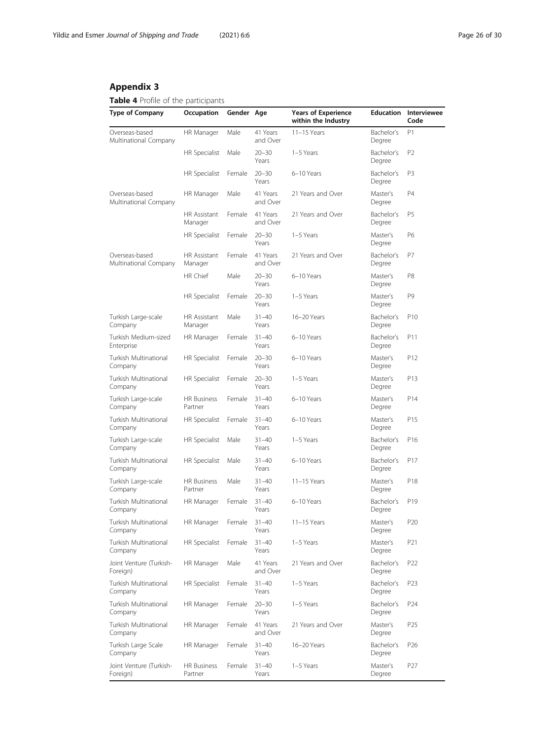# <span id="page-25-0"></span>Appendix 3

# Table 4 Profile of the participants

| <b>Type of Company</b>                  | Occupation                    | Gender Age |                      | <b>Years of Experience</b><br>within the Industry | <b>Education</b>     | Interviewee<br>Code |
|-----------------------------------------|-------------------------------|------------|----------------------|---------------------------------------------------|----------------------|---------------------|
| Overseas-based<br>Multinational Company | HR Manager                    | Male       | 41 Years<br>and Over | $11-15$ Years                                     | Bachelor's<br>Degree | P1                  |
|                                         | HR Specialist                 | Male       | $20 - 30$<br>Years   | 1-5 Years                                         | Bachelor's<br>Degree | P <sub>2</sub>      |
|                                         | <b>HR Specialist</b>          | Female     | $20 - 30$<br>Years   | 6-10 Years                                        | Bachelor's<br>Degree | P3                  |
| Overseas-based<br>Multinational Company | HR Manager                    | Male       | 41 Years<br>and Over | 21 Years and Over                                 | Master's<br>Degree   | P4                  |
|                                         | HR Assistant<br>Manager       | Female     | 41 Years<br>and Over | 21 Years and Over                                 | Bachelor's<br>Degree | P5                  |
|                                         | HR Specialist                 | Female     | $20 - 30$<br>Years   | 1-5 Years                                         | Master's<br>Degree   | P6                  |
| Overseas-based<br>Multinational Company | HR Assistant<br>Manager       | Female     | 41 Years<br>and Over | 21 Years and Over                                 | Bachelor's<br>Degree | Р7                  |
|                                         | HR Chief                      | Male       | $20 - 30$<br>Years   | 6-10 Years                                        | Master's<br>Degree   | P8                  |
|                                         | HR Specialist                 | Female     | $20 - 30$<br>Years   | 1-5 Years                                         | Master's<br>Degree   | P9                  |
| Turkish Large-scale<br>Company          | HR Assistant<br>Manager       | Male       | $31 - 40$<br>Years   | 16-20 Years                                       | Bachelor's<br>Degree | P <sub>10</sub>     |
| Turkish Medium-sized<br>Enterprise      | HR Manager                    | Female     | $31 - 40$<br>Years   | 6-10 Years                                        | Bachelor's<br>Degree | P11                 |
| Turkish Multinational<br>Company        | HR Specialist                 | Female     | $20 - 30$<br>Years   | 6-10 Years                                        | Master's<br>Degree   | P12                 |
| Turkish Multinational<br>Company        | HR Specialist                 | Female     | $20 - 30$<br>Years   | 1-5 Years                                         | Master's<br>Degree   | P13                 |
| Turkish Large-scale<br>Company          | <b>HR Business</b><br>Partner | Female     | $31 - 40$<br>Years   | 6-10 Years                                        | Master's<br>Degree   | P14                 |
| Turkish Multinational<br>Company        | HR Specialist                 | Female     | $31 - 40$<br>Years   | 6-10 Years                                        | Master's<br>Degree   | P15                 |
| Turkish Large-scale<br>Company          | HR Specialist                 | Male       | $31 - 40$<br>Years   | 1-5 Years                                         | Bachelor's<br>Degree | P16                 |
| Turkish Multinational<br>Company        | HR Specialist                 | Male       | $31 - 40$<br>Years   | 6-10 Years                                        | Bachelor's<br>Degree | P17                 |
| Turkish Large-scale<br>Company          | <b>HR Business</b><br>Partner | Male       | $31 - 40$<br>Years   | $11-15$ Years                                     | Master's<br>Degree   | P18                 |
| Turkish Multinational<br>Company        | HR Manager                    | Female     | $31 - 40$<br>Years   | 6-10 Years                                        | Bachelor's<br>Degree | P19                 |
| Turkish Multinational<br>Company        | HR Manager                    | Female     | $31 - 40$<br>Years   | $11-15$ Years                                     | Master's<br>Degree   | P20                 |
| Turkish Multinational<br>Company        | HR Specialist                 | Female     | $31 - 40$<br>Years   | 1-5 Years                                         | Master's<br>Degree   | P21                 |
| Joint Venture (Turkish-<br>Foreign)     | HR Manager                    | Male       | 41 Years<br>and Over | 21 Years and Over                                 | Bachelor's<br>Degree | P <sub>22</sub>     |
| Turkish Multinational<br>Company        | <b>HR Specialist</b>          | Female     | $31 - 40$<br>Years   | 1-5 Years                                         | Bachelor's<br>Degree | P23                 |
| Turkish Multinational<br>Company        | HR Manager                    | Female     | $20 - 30$<br>Years   | 1-5 Years                                         | Bachelor's<br>Degree | P <sub>24</sub>     |
| Turkish Multinational<br>Company        | HR Manager                    | Female     | 41 Years<br>and Over | 21 Years and Over                                 | Master's<br>Degree   | P <sub>25</sub>     |
| Turkish Large Scale<br>Company          | HR Manager                    | Female     | $31 - 40$<br>Years   | 16-20 Years                                       | Bachelor's<br>Degree | P <sub>26</sub>     |
| Joint Venture (Turkish-<br>Foreign)     | <b>HR Business</b><br>Partner | Female     | $31 - 40$<br>Years   | 1-5 Years                                         | Master's<br>Degree   | P27                 |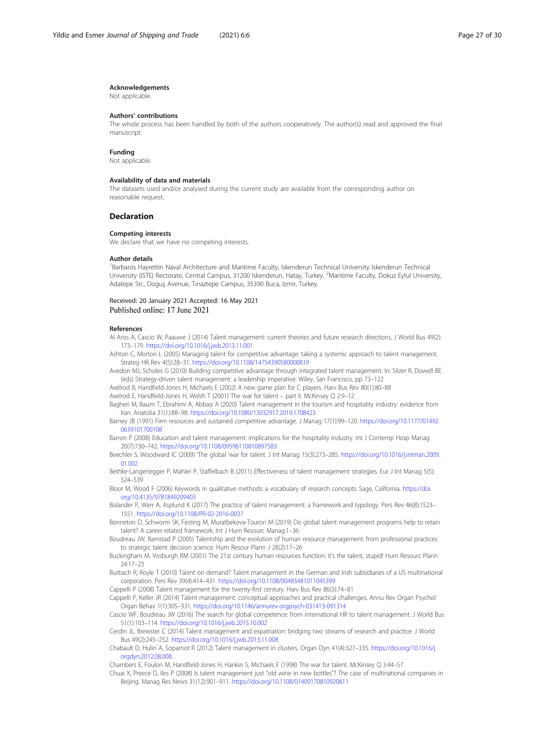#### <span id="page-26-0"></span>Acknowledgements

Not applicable.

#### Authors' contributions

The whole process has been handled by both of the authors cooperatively. The author(s) read and approved the final manuscript.

#### Funding

Not applicable.

#### Availability of data and materials

The datasets used and/or analysed during the current study are available from the corresponding author on reasonable request.

# Declaration

#### Competing interests

We declare that we have no competing interests.

#### Author details

<sup>1</sup>Barbaros Hayrettin Naval Architecture and Maritime Faculty, Iskenderun Technical University Iskenderun Technical University (ISTE) Rectorate, Central Campus, 31200 Iskenderun, Hatay, Turkey. <sup>2</sup>Maritime Faculty, Dokuz Eylul University, Adatepe Str., Doguş Avenue, Tınaztepe Campus, 35390 Buca, Izmir, Turkey.

Received: 20 January 2021 Accepted: 16 May 2021 Published online: 17 June 2021

#### References

- Al Ariss A, Cascio W, Paauwe J (2014) Talent management: current theories and future research directions. J World Bus 49(2): 173–179. <https://doi.org/10.1016/j.jwb.2013.11.001>
- Ashton C, Morton L (2005) Managing talent for competitive advantage: taking a systemic approach to talent management. Strateg HR Rev 4(5):28–31. <https://doi.org/10.1108/14754390580000819>
- Avedon MJ, Scholes G (2010) Building competitive advantage through integrated talent management. In: Silzer R, Dowell BE (eds) Strategy-driven talent management: a leadership imperative. Wiley, San Francisco, pp 73–122
- Axelrod B, Handfield-Jones H, Michaels E (2002) A new game plan for C players. Harv Bus Rev 80(1):80–88
- Axelrod E, Handfield-Jones H, Welsh T (2001) The war for talent part II. McKinsey Q 2:9–12
- Bagheri M, Baum T, Ebrahimi A, Abbasi A (2020) Talent management in the tourism and hospitality industry: evidence from Iran. Anatolia 31(1):88–98. <https://doi.org/10.1080/13032917.2019.1708423>
- Barney JB (1991) Firm resources and sustained competitive advantage. J Manag 17(1):99–120. [https://doi.org/10.1177/01492](https://doi.org/10.1177/014920639101700108) [0639101700108](https://doi.org/10.1177/014920639101700108)
- Barron P (2008) Education and talent management: implications for the hospitality industry. Int J Contemp Hosp Manag 20(7):730–742. <https://doi.org/10.1108/09596110810897583>
- Beechler S, Woodward IC (2009) 'The global 'war for talent. J Int Manag 15(3):273–285. [https://doi.org/10.1016/j.intman.2009.](https://doi.org/10.1016/j.intman.2009.01.002) [01.002](https://doi.org/10.1016/j.intman.2009.01.002)
- Bethke-Langenegger P, Mahler P, Staffelbach B (2011) Effectiveness of talent management strategies. Eur J Int Manag 5(5): 524–539
- Bloor M, Wood F (2006) Keywords in qualitative methods: a vocabulary of research concepts. Sage, California. [https://doi.](https://doi.org/10.4135/9781849209403) [org/10.4135/9781849209403](https://doi.org/10.4135/9781849209403)
- Bolander P, Werr A, Asplund K (2017) The practice of talent management: a framework and typology. Pers Rev 46(8):1523– 1551. <https://doi.org/10.1108/PR-02-2016-0037>
- Bonneton D, Schworm SK, Festing M, Muratbekova-Touron M (2019) Do global talent management programs help to retain talent? A career-related framework. Int J Hum Resourc Manag:1–36
- Boudreau JW, Ramstad P (2005) Talentship and the evolution of human resource management: from professional practices to strategic talent decision science. Hum Resour Plann J 28(2):17–26
- Buckingham M, Vosburgh RM (2001) The 21st century human resources function: it's the talent, stupid! Hum Resourc Plann 24:17–23

Burbach R, Royle T (2010) Talent on demand? Talent management in the German and Irish subsidiaries of a US multinational corporation. Pers Rev 39(4):414–431. <https://doi.org/10.1108/00483481011045399>

Cappelli P (2008) Talent management for the twenty-first century. Harv Bus Rev 86(3):74–81

Cappelli P, Keller JR (2014) Talent management: conceptual approaches and practical challenges. Annu Rev Organ Psychol Organ Behav 1(1):305–331. <https://doi.org/10.1146/annurev-orgpsych-031413-091314>

- Cascio WF, Boudreau JW (2016) The search for global competence: from international HR to talent management. J World Bus 51(1):103–114. <https://doi.org/10.1016/j.jwb.2015.10.002>
- Cerdin JL, Brewster C (2014) Talent management and expatriation: bridging two streams of research and practice. J World Bus 49(2):245–252. <https://doi.org/10.1016/j.jwb.2013.11.008>
- Chabault D, Hulin A, Soparnot R (2012) Talent management in clusters. Organ Dyn 41(4):327–335. [https://doi.org/10.1016/j.](https://doi.org/10.1016/j.orgdyn.2012.08.008) [orgdyn.2012.08.008](https://doi.org/10.1016/j.orgdyn.2012.08.008)

Chambers E, Foulon M, Handfield-Jones H, Hankin S, Michaels E (1998) The war for talent. McKinsey Q 3:44–57

Chuai X, Preece D, Iles P (2008) Is talent management just "old wine in new bottles"? The case of multinational companies in Beijing. Manag Res News 31(12):901–911. <https://doi.org/10.1108/01409170810920611>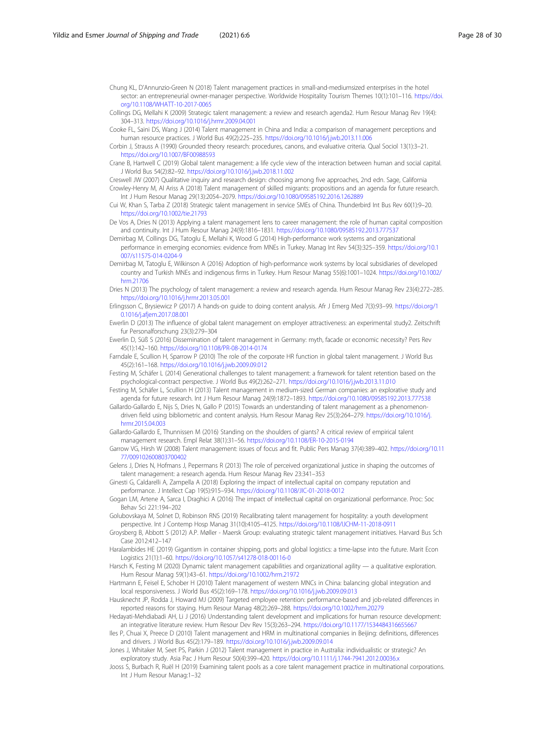- <span id="page-27-0"></span>Chung KL, D'Annunzio-Green N (2018) Talent management practices in small-and-mediumsized enterprises in the hotel sector: an entrepreneurial owner-manager perspective. Worldwide Hospitality Tourism Themes 10(1):101-116. [https://doi.](https://doi.org/10.1108/WHATT-10-2017-0065) [org/10.1108/WHATT-10-2017-0065](https://doi.org/10.1108/WHATT-10-2017-0065)
- Collings DG, Mellahi K (2009) Strategic talent management: a review and research agenda2. Hum Resour Manag Rev 19(4): 304–313. <https://doi.org/10.1016/j.hrmr.2009.04.001>
- Cooke FL, Saini DS, Wang J (2014) Talent management in China and India: a comparison of management perceptions and human resource practices. J World Bus 49(2):225–235. <https://doi.org/10.1016/j.jwb.2013.11.006>
- Corbin J, Strauss A (1990) Grounded theory research: procedures, canons, and evaluative criteria. Qual Sociol 13(1):3–21. <https://doi.org/10.1007/BF00988593>
- Crane B, Hartwell C (2019) Global talent management: a life cycle view of the interaction between human and social capital. J World Bus 54(2):82–92. <https://doi.org/10.1016/j.jwb.2018.11.002>
- Creswell JW (2007) Qualitative inquiry and research design: choosing among five approaches, 2nd edn. Sage, California Crowley-Henry M, Al Ariss A (2018) Talent management of skilled migrants: propositions and an agenda for future research. Int J Hum Resour Manag 29(13):2054–2079. <https://doi.org/10.1080/09585192.2016.1262889>
- Cui W, Khan S, Tarba Z (2018) Strategic talent management in service SMEs of China. Thunderbird Int Bus Rev 60(1):9–20. <https://doi.org/10.1002/tie.21793>
- De Vos A, Dries N (2013) Applying a talent management lens to career management: the role of human capital composition and continuity. Int J Hum Resour Manag 24(9):1816–1831. <https://doi.org/10.1080/09585192.2013.777537>
- Demirbag M, Collings DG, Tatoglu E, Mellahi K, Wood G (2014) High-performance work systems and organizational performance in emerging economies: evidence from MNEs in Turkey. Manag Int Rev 54(3):325–359. [https://doi.org/10.1](https://doi.org/10.1007/s11575-014-0204-9) [007/s11575-014-0204-9](https://doi.org/10.1007/s11575-014-0204-9)
- Demirbag M, Tatoglu E, Wilkinson A (2016) Adoption of high-performance work systems by local subsidiaries of developed country and Turkish MNEs and indigenous firms in Turkey. Hum Resour Manag 55(6):1001–1024. [https://doi.org/10.1002/](https://doi.org/10.1002/hrm.21706) [hrm.21706](https://doi.org/10.1002/hrm.21706)
- Dries N (2013) The psychology of talent management: a review and research agenda. Hum Resour Manag Rev 23(4):272–285. <https://doi.org/10.1016/j.hrmr.2013.05.001>
- Erlingsson C, Brysiewicz P (2017) A hands-on guide to doing content analysis. Afr J Emerg Med 7(3):93–99. [https://doi.org/1](https://doi.org/10.1016/j.afjem.2017.08.001) [0.1016/j.afjem.2017.08.001](https://doi.org/10.1016/j.afjem.2017.08.001)
- Ewerlin D (2013) The influence of global talent management on employer attractiveness: an experimental study2. Zeitschrift fur Personalforschung 23(3):279–304
- Ewerlin D, Süß S (2016) Dissemination of talent management in Germany: myth, facade or economic necessity? Pers Rev 45(1):142–160. <https://doi.org/10.1108/PR-08-2014-0174>
- Farndale E, Scullion H, Sparrow P (2010) The role of the corporate HR function in global talent management. J World Bus 45(2):161–168. <https://doi.org/10.1016/j.jwb.2009.09.012>
- Festing M, Schäfer L (2014) Generational challenges to talent management: a framework for talent retention based on the psychological-contract perspective. J World Bus 49(2):262–271. <https://doi.org/10.1016/j.jwb.2013.11.010>
- Festing M, Schäfer L, Scullion H (2013) Talent management in medium-sized German companies: an explorative study and agenda for future research. Int J Hum Resour Manag 24(9):1872–1893. <https://doi.org/10.1080/09585192.2013.777538>
- Gallardo-Gallardo E, Nijs S, Dries N, Gallo P (2015) Towards an understanding of talent management as a phenomenondriven field using bibliometric and content analysis. Hum Resour Manag Rev 25(3):264–279. [https://doi.org/10.1016/j.](https://doi.org/10.1016/j.hrmr.2015.04.003) [hrmr.2015.04.003](https://doi.org/10.1016/j.hrmr.2015.04.003)
- Gallardo-Gallardo E, Thunnissen M (2016) Standing on the shoulders of giants? A critical review of empirical talent management research. Empl Relat 38(1):31–56. <https://doi.org/10.1108/ER-10-2015-0194>
- Garrow VG, Hirsh W (2008) Talent management: issues of focus and fit. Public Pers Manag 37(4):389–402. [https://doi.org/10.11](https://doi.org/10.1177/009102600803700402) [77/009102600803700402](https://doi.org/10.1177/009102600803700402)
- Gelens J, Dries N, Hofmans J, Pepermans R (2013) The role of perceived organizational justice in shaping the outcomes of talent management: a research agenda. Hum Resour Manag Rev 23:341–353
- Ginesti G, Caldarelli A, Zampella A (2018) Exploring the impact of intellectual capital on company reputation and performance. J Intellect Cap 19(5):915–934. <https://doi.org/10.1108/JIC-01-2018-0012>
- Gogan LM, Artene A, Sarca I, Draghici A (2016) The impact of intellectual capital on organizational performance. Proc: Soc Behav Sci 221:194–202
- Golubovskaya M, Solnet D, Robinson RNS (2019) Recalibrating talent management for hospitality: a youth development perspective. Int J Contemp Hosp Manag 31(10):4105–4125. <https://doi.org/10.1108/IJCHM-11-2018-0911>
- Groysberg B, Abbott S (2012) A.P. Møller Maersk Group: evaluating strategic talent management initiatives. Harvard Bus Sch Case 2012:412–147
- Haralambides HE (2019) Gigantism in container shipping, ports and global logistics: a time-lapse into the future. Marit Econ Logistics 21(1):1–60. <https://doi.org/10.1057/s41278-018-00116-0>
- Harsch K, Festing M (2020) Dynamic talent management capabilities and organizational agility a qualitative exploration. Hum Resour Manag 59(1):43–61. <https://doi.org/10.1002/hrm.21972>
- Hartmann E, Feisel E, Schober H (2010) Talent management of western MNCs in China: balancing global integration and local responsiveness. J World Bus 45(2):169–178. <https://doi.org/10.1016/j.jwb.2009.09.013>
- Hausknecht JP, Rodda J, Howard MJ (2009) Targeted employee retention: performance-based and job-related differences in reported reasons for staying. Hum Resour Manag 48(2):269–288. <https://doi.org/10.1002/hrm.20279>
- Hedayati-Mehdiabadi AH, Li J (2016) Understanding talent development and implications for human resource development: an integrative literature review. Hum Resour Dev Rev 15(3):263–294. <https://doi.org/10.1177/1534484316655667>
- Iles P, Chuai X, Preece D (2010) Talent management and HRM in multinational companies in Beijing: definitions, differences and drivers. J World Bus 45(2):179–189. <https://doi.org/10.1016/j.jwb.2009.09.014>
- Jones J, Whitaker M, Seet PS, Parkin J (2012) Talent management in practice in Australia: individualistic or strategic? An exploratory study. Asia Pac J Hum Resour 50(4):399–420. <https://doi.org/10.1111/j.1744-7941.2012.00036.x>
- Jooss S, Burbach R, Ruël H (2019) Examining talent pools as a core talent management practice in multinational corporations. Int J Hum Resour Manag:1–32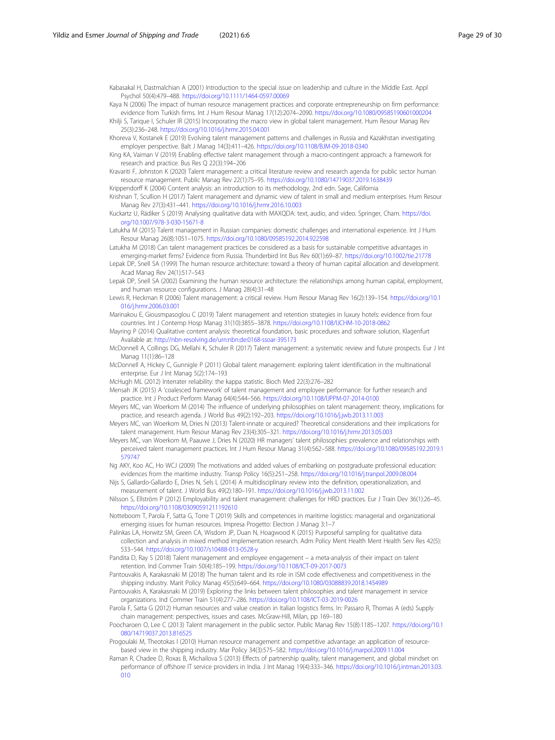<span id="page-28-0"></span>Kabasakal H, Dastmalchian A (2001) Introduction to the special issue on leadership and culture in the Middle East. Appl Psychol 50(4):479–488. <https://doi.org/10.1111/1464-0597.00069>

Kaya N (2006) The impact of human resource management practices and corporate entrepreneurship on firm performance: evidence from Turkish firms. Int J Hum Resour Manag 17(12):2074–2090. <https://doi.org/10.1080/09585190601000204>

Khilji S, Tarique I, Schuler IR (2015) Incorporating the macro view in global talent management. Hum Resour Manag Rev 25(3):236–248. <https://doi.org/10.1016/j.hrmr.2015.04.001>

- Khoreva V, Kostanek E (2019) Evolving talent management patterns and challenges in Russia and Kazakhstan investigating employer perspective. Balt J Manag 14(3):411–426. <https://doi.org/10.1108/BJM-09-2018-0340>
- King KA, Vaiman V (2019) Enabling effective talent management through a macro-contingent approach: a framework for research and practice. Bus Res Q 22(3):194–206
- Kravariti F, Johnston K (2020) Talent management: a critical literature review and research agenda for public sector human resource management. Public Manag Rev 22(1):75–95. <https://doi.org/10.1080/14719037.2019.1638439>

Krippendorff K (2004) Content analysis: an introduction to its methodology, 2nd edn. Sage, California

Krishnan T, Scullion H (2017) Talent management and dynamic view of talent in small and medium enterprises. Hum Resour Manag Rev 27(3):431–441. <https://doi.org/10.1016/j.hrmr.2016.10.003>

Kuckartz U, Rädiker S (2019) Analysing qualitative data with MAXQDA: text, audio, and video. Springer, Cham. [https://doi.](https://doi.org/10.1007/978-3-030-15671-8) [org/10.1007/978-3-030-15671-8](https://doi.org/10.1007/978-3-030-15671-8)

Latukha M (2015) Talent management in Russian companies: domestic challenges and international experience. Int J Hum Resour Manag 26(8):1051–1075. <https://doi.org/10.1080/09585192.2014.922598>

Latukha M (2018) Can talent management practices be considered as a basis for sustainable competitive advantages in emerging-market firms? Evidence from Russia. Thunderbird Int Bus Rev 60(1):69–87. <https://doi.org/10.1002/tie.21778>

Lepak DP, Snell SA (1999) The human resource architecture: toward a theory of human capital allocation and development. Acad Manag Rev 24(1):517–543

Lepak DP, Snell SA (2002) Examining the human resource architecture: the relationships among human capital, employment, and human resource configurations. J Manag 28(4):31–48

Lewis R, Heckman R (2006) Talent management: a critical review. Hum Resour Manag Rev 16(2):139–154. [https://doi.org/10.1](https://doi.org/10.1016/j.hrmr.2006.03.001) [016/j.hrmr.2006.03.001](https://doi.org/10.1016/j.hrmr.2006.03.001)

Marinakou E, Giousmpasoglou C (2019) Talent management and retention strategies in luxury hotels: evidence from four countries. Int J Contemp Hosp Manag 31(10):3855–3878. <https://doi.org/10.1108/IJCHM-10-2018-0862>

Mayring P (2014) Qualitative content analysis: theoretical foundation, basic procedures and software solution, Klagenfurt Available at: <http://nbn-resolving.de/urn:nbn:de:0168-ssoar-395173>

McDonnell A, Collings DG, Mellahi K, Schuler R (2017) Talent management: a systematic review and future prospects. Eur J Int Manag 11(1):86–128

McDonnell A, Hickey C, Gunnigle P (2011) Global talent management: exploring talent identification in the multinational enterprise. Eur J Int Manag 5(2):174–193

McHugh ML (2012) Interrater reliability: the kappa statistic. Bioch Med 22(3):276–282

Mensah JK (2015) A 'coalesced framework' of talent management and employee performance: for further research and practice. Int J Product Perform Manag 64(4):544–566. <https://doi.org/10.1108/IJPPM-07-2014-0100>

- Meyers MC, van Woerkom M (2014) The influence of underlying philosophies on talent management: theory, implications for practice, and research agenda. J World Bus 49(2):192–203. <https://doi.org/10.1016/j.jwb.2013.11.003>
- Meyers MC, van Woerkom M, Dries N (2013) Talent-innate or acquired? Theoretical considerations and their implications for talent management. Hum Resour Manag Rev 23(4):305–321. <https://doi.org/10.1016/j.hrmr.2013.05.003>
- Meyers MC, van Woerkom M, Paauwe J, Dries N (2020) HR managers' talent philosophies: prevalence and relationships with perceived talent management practices. Int J Hum Resour Manag 31(4):562–588. [https://doi.org/10.1080/09585192.2019.1](https://doi.org/10.1080/09585192.2019.1579747) [579747](https://doi.org/10.1080/09585192.2019.1579747)

Ng AKY, Koo AC, Ho WCJ (2009) The motivations and added values of embarking on postgraduate professional education: evidences from the maritime industry. Transp Policy 16(5):251–258. <https://doi.org/10.1016/j.tranpol.2009.08.004>

- Nijs S, Gallardo-Gallardo E, Dries N, Sels L (2014) A multidisciplinary review into the definition, operationalization, and measurement of talent. J World Bus 49(2):180–191. <https://doi.org/10.1016/j.jwb.2013.11.002>
- Nilsson S, Ellström P (2012) Employability and talent management: challenges for HRD practices. Eur J Train Dev 36(1):26–45. <https://doi.org/10.1108/03090591211192610>

Notteboom T, Parola F, Satta G, Torre T (2019) Skills and competences in maritime logistics: managerial and organizational emerging issues for human resources. Impresa Progetto: Electron J Manag 3:1–7

Palinkas LA, Horwitz SM, Green CA, Wisdom JP, Duan N, Hoagwood K (2015) Purposeful sampling for qualitative data collection and analysis in mixed method implementation research. Adm Policy Ment Health Ment Health Serv Res 42(5): 533–544. <https://doi.org/10.1007/s10488-013-0528-y>

Pandita D, Ray S (2018) Talent management and employee engagement – a meta-analysis of their impact on talent retention. Ind Commer Train 50(4):185–199. <https://doi.org/10.1108/ICT-09-2017-0073>

Pantouvakis A, Karakasnaki M (2018) The human talent and its role in ISM code effectiveness and competitiveness in the shipping industry. Marit Policy Manag 45(5):649–664. <https://doi.org/10.1080/03088839.2018.1454989>

Pantouvakis A, Karakasnaki M (2019) Exploring the links between talent philosophies and talent management in service organizations. Ind Commer Train 51(4):277–286. <https://doi.org/10.1108/ICT-03-2019-0026>

Parola F, Satta G (2012) Human resources and value creation in Italian logistics firms. In: Passaro R, Thomas A (eds) Supply chain management: perspectives, issues and cases. McGraw-Hill, Milan, pp 169–180

Poocharoen O, Lee C (2013) Talent management in the public sector. Public Manag Rev 15(8):1185–1207. [https://doi.org/10.1](https://doi.org/10.1080/14719037.2013.816525) [080/14719037.2013.816525](https://doi.org/10.1080/14719037.2013.816525)

Progoulaki M, Theotokas I (2010) Human resource management and competitive advantage: an application of resourcebased view in the shipping industry. Mar Policy 34(3):575–582. <https://doi.org/10.1016/j.marpol.2009.11.004>

Raman R, Chadee D, Roxas B, Michailova S (2013) Effects of partnership quality, talent management, and global mindset on performance of offshore IT service providers in India. J Int Manag 19(4):333–346. [https://doi.org/10.1016/j.intman.2013.03.](https://doi.org/10.1016/j.intman.2013.03.010) [010](https://doi.org/10.1016/j.intman.2013.03.010)